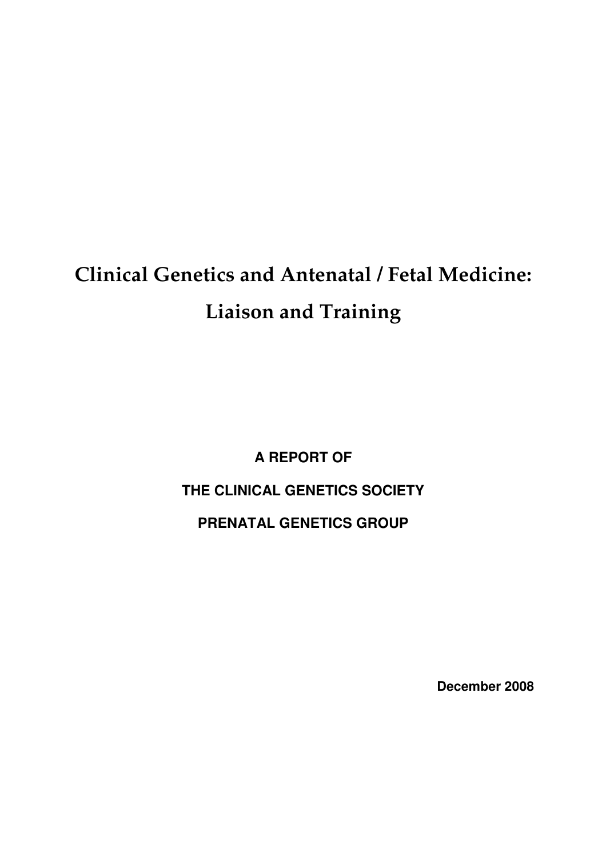# **Clinical Genetics and Antenatal / Fetal Medicine: Liaison and Training**

**A REPORT OF THE CLINICAL GENETICS SOCIETY PRENATAL GENETICS GROUP** 

**December 2008**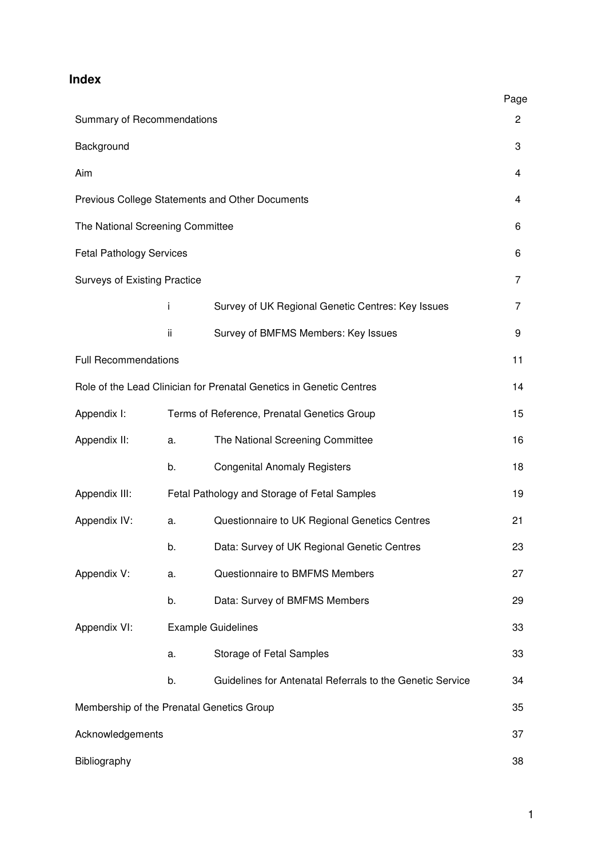## **Index**

|                                                                     |                                              |                                                           | Page |
|---------------------------------------------------------------------|----------------------------------------------|-----------------------------------------------------------|------|
| Summary of Recommendations                                          |                                              |                                                           | 2    |
| Background                                                          |                                              |                                                           | 3    |
| Aim                                                                 |                                              |                                                           | 4    |
| Previous College Statements and Other Documents                     |                                              |                                                           | 4    |
| The National Screening Committee                                    |                                              |                                                           | 6    |
| <b>Fetal Pathology Services</b>                                     |                                              |                                                           | 6    |
| <b>Surveys of Existing Practice</b>                                 |                                              |                                                           | 7    |
|                                                                     | i                                            | Survey of UK Regional Genetic Centres: Key Issues         | 7    |
|                                                                     | ii                                           | Survey of BMFMS Members: Key Issues                       | 9    |
| <b>Full Recommendations</b>                                         |                                              |                                                           | 11   |
| Role of the Lead Clinician for Prenatal Genetics in Genetic Centres |                                              |                                                           |      |
| Appendix I:                                                         |                                              | Terms of Reference, Prenatal Genetics Group               | 15   |
| Appendix II:                                                        | a.                                           | The National Screening Committee                          | 16   |
|                                                                     | b.                                           | <b>Congenital Anomaly Registers</b>                       | 18   |
| Appendix III:                                                       | Fetal Pathology and Storage of Fetal Samples |                                                           | 19   |
| Appendix IV:                                                        | a.                                           | Questionnaire to UK Regional Genetics Centres             | 21   |
|                                                                     | b.                                           | Data: Survey of UK Regional Genetic Centres               | 23   |
| Appendix V:                                                         | a.                                           | Questionnaire to BMFMS Members                            | 27   |
|                                                                     | b.                                           | Data: Survey of BMFMS Members                             | 29   |
| Appendix VI:                                                        | <b>Example Guidelines</b>                    |                                                           | 33   |
|                                                                     | a.                                           | Storage of Fetal Samples                                  | 33   |
|                                                                     | b.                                           | Guidelines for Antenatal Referrals to the Genetic Service | 34   |
| Membership of the Prenatal Genetics Group                           |                                              |                                                           | 35   |
| Acknowledgements                                                    |                                              |                                                           | 37   |
| Bibliography                                                        |                                              |                                                           | 38   |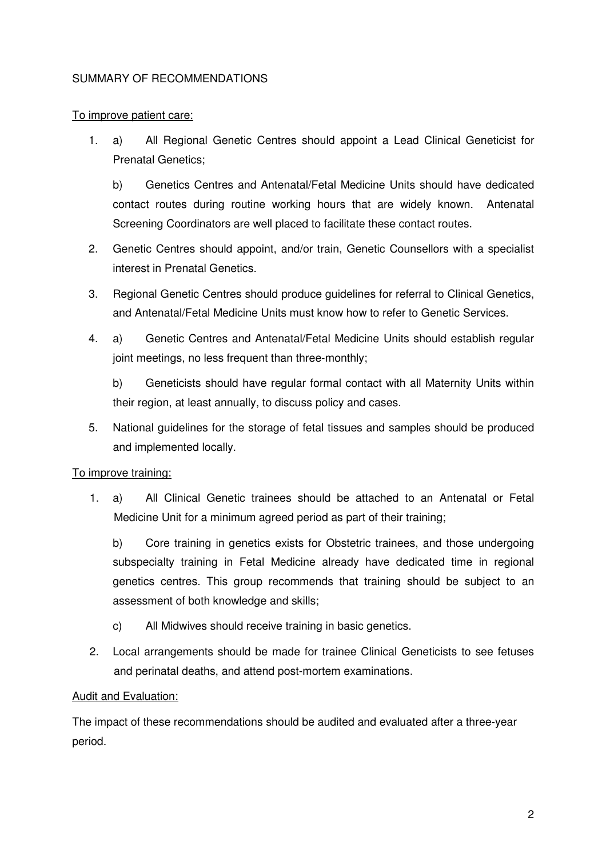## SUMMARY OF RECOMMENDATIONS

## To improve patient care:

1. a) All Regional Genetic Centres should appoint a Lead Clinical Geneticist for Prenatal Genetics;

 b) Genetics Centres and Antenatal/Fetal Medicine Units should have dedicated contact routes during routine working hours that are widely known. Antenatal Screening Coordinators are well placed to facilitate these contact routes.

- 2. Genetic Centres should appoint, and/or train, Genetic Counsellors with a specialist interest in Prenatal Genetics.
- 3. Regional Genetic Centres should produce guidelines for referral to Clinical Genetics, and Antenatal/Fetal Medicine Units must know how to refer to Genetic Services.
- 4. a) Genetic Centres and Antenatal/Fetal Medicine Units should establish regular joint meetings, no less frequent than three-monthly;

 b) Geneticists should have regular formal contact with all Maternity Units within their region, at least annually, to discuss policy and cases.

5. National guidelines for the storage of fetal tissues and samples should be produced and implemented locally.

## To improve training:

1. a) All Clinical Genetic trainees should be attached to an Antenatal or Fetal Medicine Unit for a minimum agreed period as part of their training;

 b) Core training in genetics exists for Obstetric trainees, and those undergoing subspecialty training in Fetal Medicine already have dedicated time in regional genetics centres. This group recommends that training should be subject to an assessment of both knowledge and skills;

- c) All Midwives should receive training in basic genetics.
- 2. Local arrangements should be made for trainee Clinical Geneticists to see fetuses and perinatal deaths, and attend post-mortem examinations.

## Audit and Evaluation:

The impact of these recommendations should be audited and evaluated after a three-year period.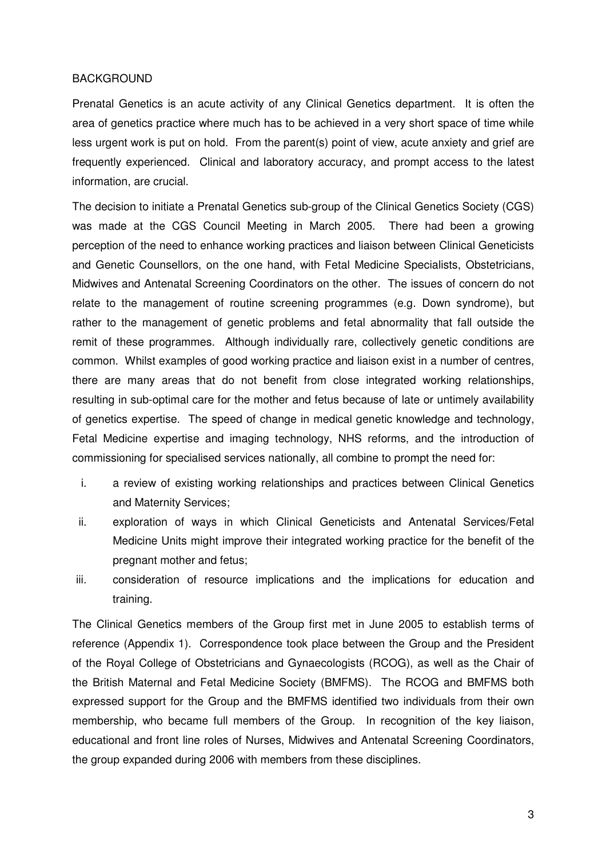#### BACKGROUND

Prenatal Genetics is an acute activity of any Clinical Genetics department. It is often the area of genetics practice where much has to be achieved in a very short space of time while less urgent work is put on hold. From the parent(s) point of view, acute anxiety and grief are frequently experienced. Clinical and laboratory accuracy, and prompt access to the latest information, are crucial.

The decision to initiate a Prenatal Genetics sub-group of the Clinical Genetics Society (CGS) was made at the CGS Council Meeting in March 2005. There had been a growing perception of the need to enhance working practices and liaison between Clinical Geneticists and Genetic Counsellors, on the one hand, with Fetal Medicine Specialists, Obstetricians, Midwives and Antenatal Screening Coordinators on the other. The issues of concern do not relate to the management of routine screening programmes (e.g. Down syndrome), but rather to the management of genetic problems and fetal abnormality that fall outside the remit of these programmes. Although individually rare, collectively genetic conditions are common. Whilst examples of good working practice and liaison exist in a number of centres, there are many areas that do not benefit from close integrated working relationships, resulting in sub-optimal care for the mother and fetus because of late or untimely availability of genetics expertise. The speed of change in medical genetic knowledge and technology, Fetal Medicine expertise and imaging technology, NHS reforms, and the introduction of commissioning for specialised services nationally, all combine to prompt the need for:

- i. a review of existing working relationships and practices between Clinical Genetics and Maternity Services;
- ii. exploration of ways in which Clinical Geneticists and Antenatal Services/Fetal Medicine Units might improve their integrated working practice for the benefit of the pregnant mother and fetus;
- iii. consideration of resource implications and the implications for education and training.

The Clinical Genetics members of the Group first met in June 2005 to establish terms of reference (Appendix 1). Correspondence took place between the Group and the President of the Royal College of Obstetricians and Gynaecologists (RCOG), as well as the Chair of the British Maternal and Fetal Medicine Society (BMFMS). The RCOG and BMFMS both expressed support for the Group and the BMFMS identified two individuals from their own membership, who became full members of the Group. In recognition of the key liaison, educational and front line roles of Nurses, Midwives and Antenatal Screening Coordinators, the group expanded during 2006 with members from these disciplines.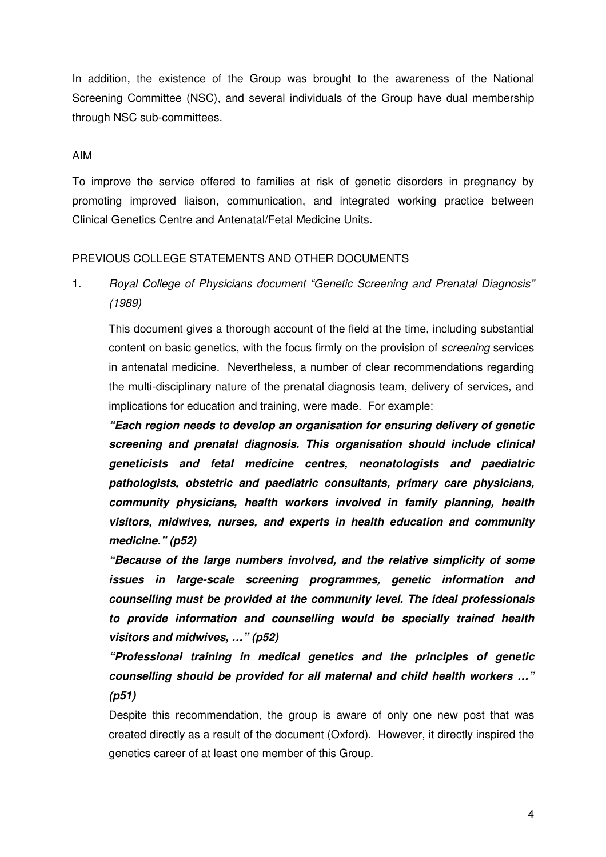In addition, the existence of the Group was brought to the awareness of the National Screening Committee (NSC), and several individuals of the Group have dual membership through NSC sub-committees.

#### AIM

To improve the service offered to families at risk of genetic disorders in pregnancy by promoting improved liaison, communication, and integrated working practice between Clinical Genetics Centre and Antenatal/Fetal Medicine Units.

## PREVIOUS COLLEGE STATEMENTS AND OTHER DOCUMENTS

1. Royal College of Physicians document "Genetic Screening and Prenatal Diagnosis" (1989)

 This document gives a thorough account of the field at the time, including substantial content on basic genetics, with the focus firmly on the provision of *screening* services in antenatal medicine. Nevertheless, a number of clear recommendations regarding the multi-disciplinary nature of the prenatal diagnosis team, delivery of services, and implications for education and training, were made. For example:

**"Each region needs to develop an organisation for ensuring delivery of genetic screening and prenatal diagnosis. This organisation should include clinical geneticists and fetal medicine centres, neonatologists and paediatric pathologists, obstetric and paediatric consultants, primary care physicians, community physicians, health workers involved in family planning, health visitors, midwives, nurses, and experts in health education and community medicine." (p52)** 

 **"Because of the large numbers involved, and the relative simplicity of some issues in large-scale screening programmes, genetic information and counselling must be provided at the community level. The ideal professionals to provide information and counselling would be specially trained health visitors and midwives, …" (p52)** 

 **"Professional training in medical genetics and the principles of genetic counselling should be provided for all maternal and child health workers …" (p51)**

Despite this recommendation, the group is aware of only one new post that was created directly as a result of the document (Oxford). However, it directly inspired the genetics career of at least one member of this Group.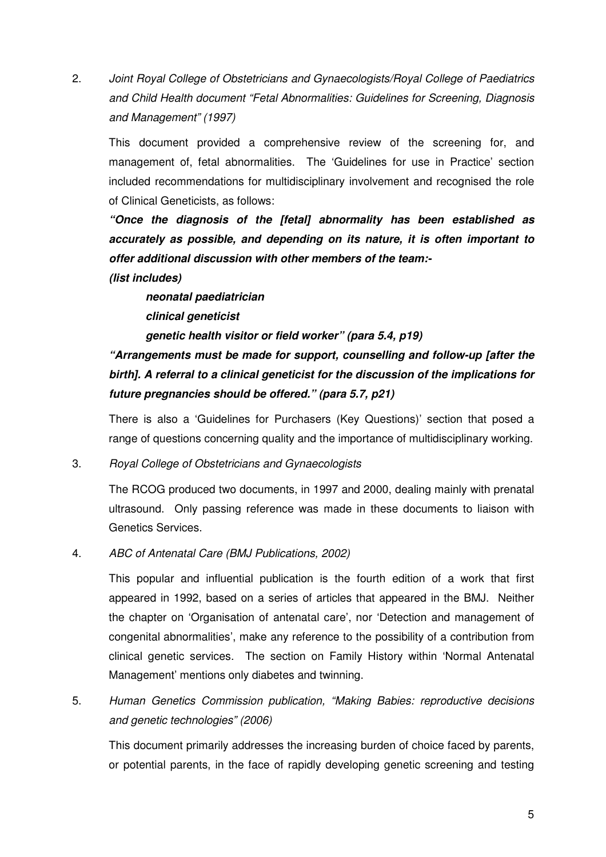2. Joint Royal College of Obstetricians and Gynaecologists/Royal College of Paediatrics and Child Health document "Fetal Abnormalities: Guidelines for Screening, Diagnosis and Management" (1997)

This document provided a comprehensive review of the screening for, and management of, fetal abnormalities. The 'Guidelines for use in Practice' section included recommendations for multidisciplinary involvement and recognised the role of Clinical Geneticists, as follows:

**"Once the diagnosis of the [fetal] abnormality has been established as accurately as possible, and depending on its nature, it is often important to offer additional discussion with other members of the team:-** 

**(list includes)** 

**neonatal paediatrician clinical geneticist genetic health visitor or field worker" (para 5.4, p19)** 

**"Arrangements must be made for support, counselling and follow-up [after the birth]. A referral to a clinical geneticist for the discussion of the implications for future pregnancies should be offered." (para 5.7, p21)** 

There is also a 'Guidelines for Purchasers (Key Questions)' section that posed a range of questions concerning quality and the importance of multidisciplinary working.

3. Royal College of Obstetricians and Gynaecologists

The RCOG produced two documents, in 1997 and 2000, dealing mainly with prenatal ultrasound. Only passing reference was made in these documents to liaison with Genetics Services.

4. ABC of Antenatal Care (BMJ Publications, 2002)

 This popular and influential publication is the fourth edition of a work that first appeared in 1992, based on a series of articles that appeared in the BMJ. Neither the chapter on 'Organisation of antenatal care', nor 'Detection and management of congenital abnormalities', make any reference to the possibility of a contribution from clinical genetic services. The section on Family History within 'Normal Antenatal Management' mentions only diabetes and twinning.

5. Human Genetics Commission publication, "Making Babies: reproductive decisions and genetic technologies" (2006)

 This document primarily addresses the increasing burden of choice faced by parents, or potential parents, in the face of rapidly developing genetic screening and testing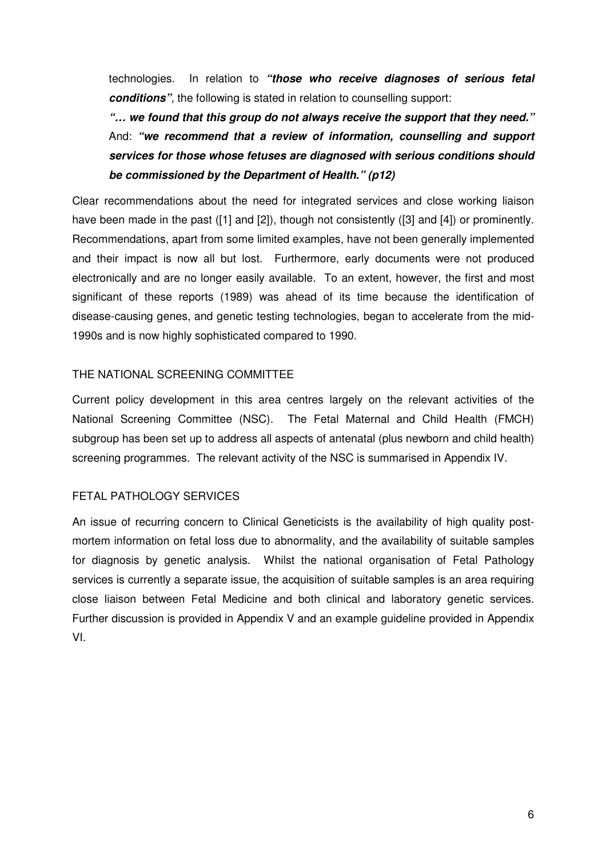technologies. In relation to **"those who receive diagnoses of serious fetal conditions"**, the following is stated in relation to counselling support:

**"… we found that this group do not always receive the support that they need."**  And: **"we recommend that a review of information, counselling and support services for those whose fetuses are diagnosed with serious conditions should be commissioned by the Department of Health." (p12)**

Clear recommendations about the need for integrated services and close working liaison have been made in the past ([1] and [2]), though not consistently ([3] and [4]) or prominently. Recommendations, apart from some limited examples, have not been generally implemented and their impact is now all but lost. Furthermore, early documents were not produced electronically and are no longer easily available. To an extent, however, the first and most significant of these reports (1989) was ahead of its time because the identification of disease-causing genes, and genetic testing technologies, began to accelerate from the mid-1990s and is now highly sophisticated compared to 1990.

## THE NATIONAL SCREENING COMMITTEE

Current policy development in this area centres largely on the relevant activities of the National Screening Committee (NSC). The Fetal Maternal and Child Health (FMCH) subgroup has been set up to address all aspects of antenatal (plus newborn and child health) screening programmes. The relevant activity of the NSC is summarised in Appendix IV.

## FETAL PATHOLOGY SERVICES

An issue of recurring concern to Clinical Geneticists is the availability of high quality postmortem information on fetal loss due to abnormality, and the availability of suitable samples for diagnosis by genetic analysis. Whilst the national organisation of Fetal Pathology services is currently a separate issue, the acquisition of suitable samples is an area requiring close liaison between Fetal Medicine and both clinical and laboratory genetic services. Further discussion is provided in Appendix V and an example guideline provided in Appendix VI.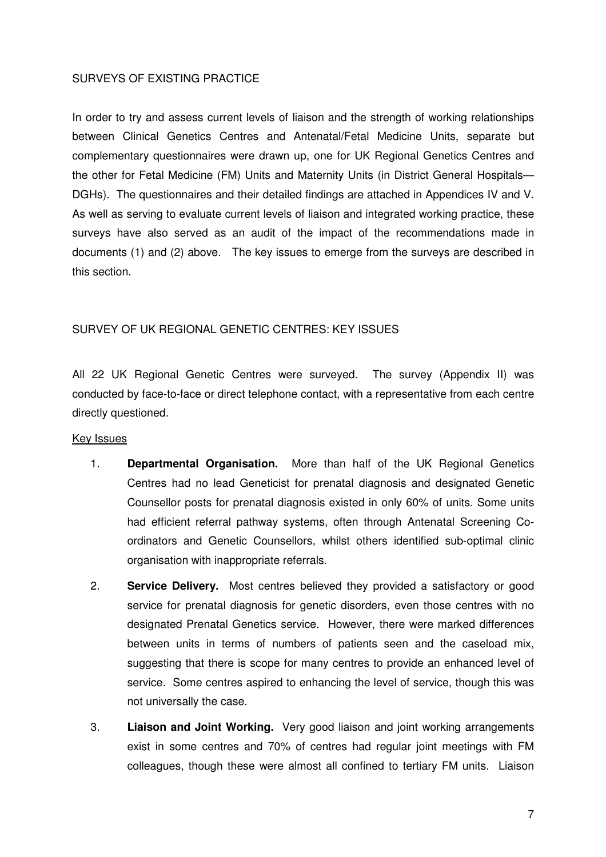## SURVEYS OF EXISTING PRACTICE

In order to try and assess current levels of liaison and the strength of working relationships between Clinical Genetics Centres and Antenatal/Fetal Medicine Units, separate but complementary questionnaires were drawn up, one for UK Regional Genetics Centres and the other for Fetal Medicine (FM) Units and Maternity Units (in District General Hospitals— DGHs). The questionnaires and their detailed findings are attached in Appendices IV and V. As well as serving to evaluate current levels of liaison and integrated working practice, these surveys have also served as an audit of the impact of the recommendations made in documents (1) and (2) above. The key issues to emerge from the surveys are described in this section.

## SURVEY OF UK REGIONAL GENETIC CENTRES: KEY ISSUES

All 22 UK Regional Genetic Centres were surveyed. The survey (Appendix II) was conducted by face-to-face or direct telephone contact, with a representative from each centre directly questioned.

#### Key Issues

- 1. **Departmental Organisation.** More than half of the UK Regional Genetics Centres had no lead Geneticist for prenatal diagnosis and designated Genetic Counsellor posts for prenatal diagnosis existed in only 60% of units. Some units had efficient referral pathway systems, often through Antenatal Screening Coordinators and Genetic Counsellors, whilst others identified sub-optimal clinic organisation with inappropriate referrals.
- 2. **Service Delivery.** Most centres believed they provided a satisfactory or good service for prenatal diagnosis for genetic disorders, even those centres with no designated Prenatal Genetics service. However, there were marked differences between units in terms of numbers of patients seen and the caseload mix, suggesting that there is scope for many centres to provide an enhanced level of service. Some centres aspired to enhancing the level of service, though this was not universally the case.
- 3. **Liaison and Joint Working.** Very good liaison and joint working arrangements exist in some centres and 70% of centres had regular joint meetings with FM colleagues, though these were almost all confined to tertiary FM units. Liaison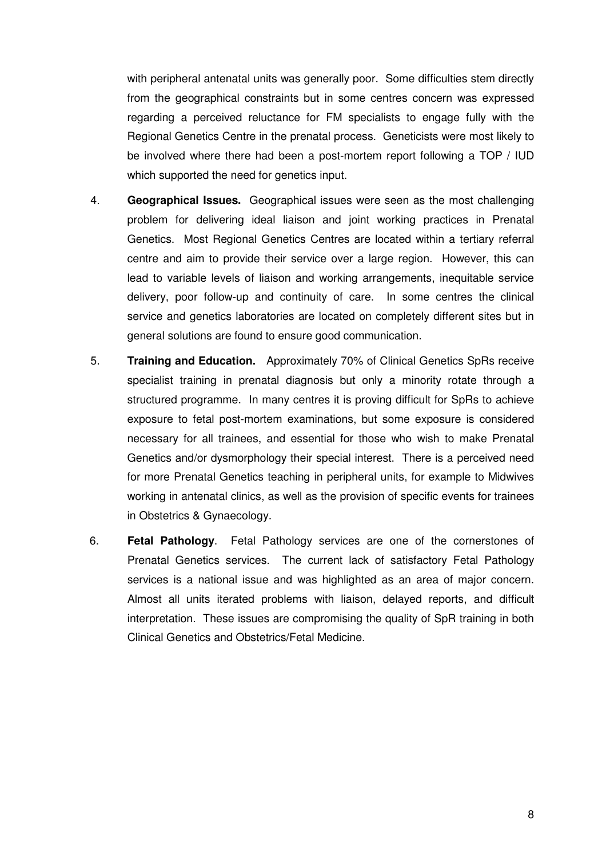with peripheral antenatal units was generally poor. Some difficulties stem directly from the geographical constraints but in some centres concern was expressed regarding a perceived reluctance for FM specialists to engage fully with the Regional Genetics Centre in the prenatal process. Geneticists were most likely to be involved where there had been a post-mortem report following a TOP / IUD which supported the need for genetics input.

- 4. **Geographical Issues.** Geographical issues were seen as the most challenging problem for delivering ideal liaison and joint working practices in Prenatal Genetics. Most Regional Genetics Centres are located within a tertiary referral centre and aim to provide their service over a large region. However, this can lead to variable levels of liaison and working arrangements, inequitable service delivery, poor follow-up and continuity of care. In some centres the clinical service and genetics laboratories are located on completely different sites but in general solutions are found to ensure good communication.
- 5. **Training and Education.** Approximately 70% of Clinical Genetics SpRs receive specialist training in prenatal diagnosis but only a minority rotate through a structured programme. In many centres it is proving difficult for SpRs to achieve exposure to fetal post-mortem examinations, but some exposure is considered necessary for all trainees, and essential for those who wish to make Prenatal Genetics and/or dysmorphology their special interest. There is a perceived need for more Prenatal Genetics teaching in peripheral units, for example to Midwives working in antenatal clinics, as well as the provision of specific events for trainees in Obstetrics & Gynaecology.
- 6. **Fetal Pathology**. Fetal Pathology services are one of the cornerstones of Prenatal Genetics services. The current lack of satisfactory Fetal Pathology services is a national issue and was highlighted as an area of major concern. Almost all units iterated problems with liaison, delayed reports, and difficult interpretation. These issues are compromising the quality of SpR training in both Clinical Genetics and Obstetrics/Fetal Medicine.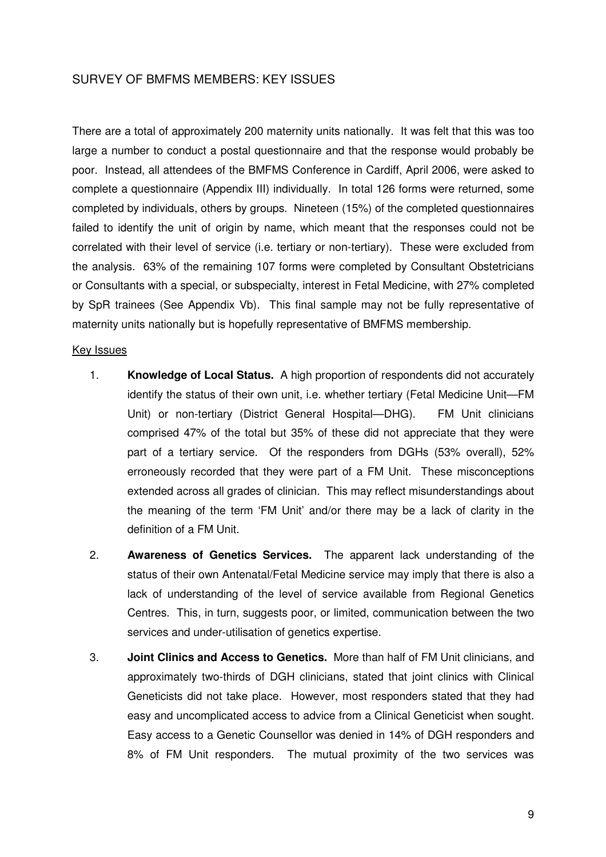## SURVEY OF BMFMS MEMBERS: KEY ISSUES

There are a total of approximately 200 maternity units nationally. It was felt that this was too large a number to conduct a postal questionnaire and that the response would probably be poor. Instead, all attendees of the BMFMS Conference in Cardiff, April 2006, were asked to complete a questionnaire (Appendix III) individually. In total 126 forms were returned, some completed by individuals, others by groups. Nineteen (15%) of the completed questionnaires failed to identify the unit of origin by name, which meant that the responses could not be correlated with their level of service (i.e. tertiary or non-tertiary). These were excluded from the analysis. 63% of the remaining 107 forms were completed by Consultant Obstetricians or Consultants with a special, or subspecialty, interest in Fetal Medicine, with 27% completed by SpR trainees (See Appendix Vb). This final sample may not be fully representative of maternity units nationally but is hopefully representative of BMFMS membership.

#### Key Issues

- 1. **Knowledge of Local Status.** A high proportion of respondents did not accurately identify the status of their own unit, i.e. whether tertiary (Fetal Medicine Unit—FM Unit) or non-tertiary (District General Hospital—DHG). FM Unit clinicians comprised 47% of the total but 35% of these did not appreciate that they were part of a tertiary service. Of the responders from DGHs (53% overall), 52% erroneously recorded that they were part of a FM Unit. These misconceptions extended across all grades of clinician. This may reflect misunderstandings about the meaning of the term 'FM Unit' and/or there may be a lack of clarity in the definition of a FM Unit.
- 2. **Awareness of Genetics Services.** The apparent lack understanding of the status of their own Antenatal/Fetal Medicine service may imply that there is also a lack of understanding of the level of service available from Regional Genetics Centres. This, in turn, suggests poor, or limited, communication between the two services and under-utilisation of genetics expertise.
- 3. **Joint Clinics and Access to Genetics.** More than half of FM Unit clinicians, and approximately two-thirds of DGH clinicians, stated that joint clinics with Clinical Geneticists did not take place. However, most responders stated that they had easy and uncomplicated access to advice from a Clinical Geneticist when sought. Easy access to a Genetic Counsellor was denied in 14% of DGH responders and 8% of FM Unit responders. The mutual proximity of the two services was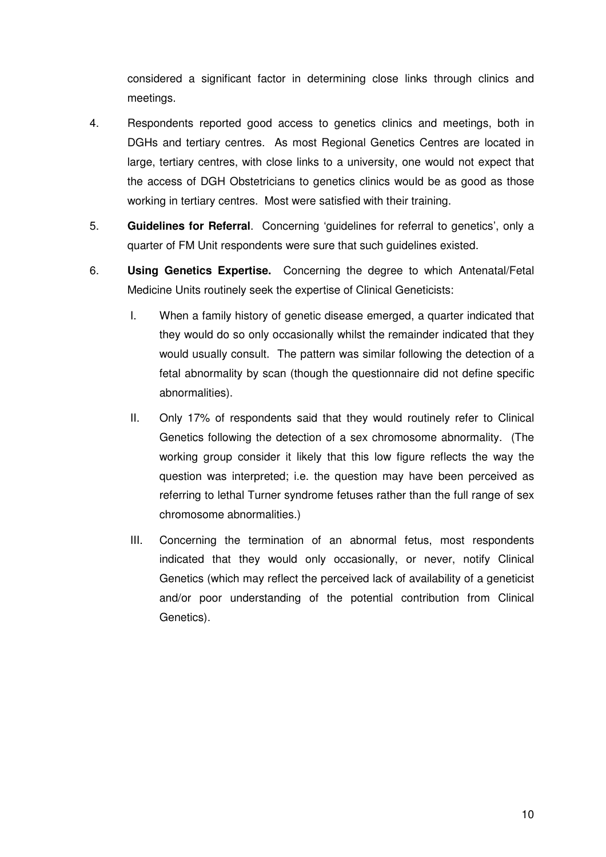considered a significant factor in determining close links through clinics and meetings.

- 4. Respondents reported good access to genetics clinics and meetings, both in DGHs and tertiary centres. As most Regional Genetics Centres are located in large, tertiary centres, with close links to a university, one would not expect that the access of DGH Obstetricians to genetics clinics would be as good as those working in tertiary centres. Most were satisfied with their training.
- 5. **Guidelines for Referral**. Concerning 'guidelines for referral to genetics', only a quarter of FM Unit respondents were sure that such guidelines existed.
- 6. **Using Genetics Expertise.** Concerning the degree to which Antenatal/Fetal Medicine Units routinely seek the expertise of Clinical Geneticists:
	- I. When a family history of genetic disease emerged, a quarter indicated that they would do so only occasionally whilst the remainder indicated that they would usually consult. The pattern was similar following the detection of a fetal abnormality by scan (though the questionnaire did not define specific abnormalities).
	- II. Only 17% of respondents said that they would routinely refer to Clinical Genetics following the detection of a sex chromosome abnormality. (The working group consider it likely that this low figure reflects the way the question was interpreted; i.e. the question may have been perceived as referring to lethal Turner syndrome fetuses rather than the full range of sex chromosome abnormalities.)
	- III. Concerning the termination of an abnormal fetus, most respondents indicated that they would only occasionally, or never, notify Clinical Genetics (which may reflect the perceived lack of availability of a geneticist and/or poor understanding of the potential contribution from Clinical Genetics).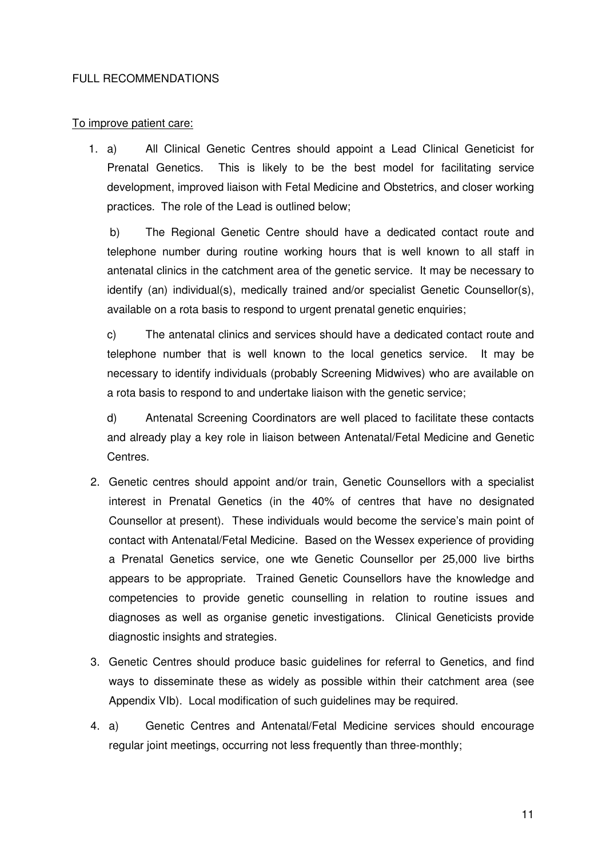#### FULL RECOMMENDATIONS

## To improve patient care:

1. a) All Clinical Genetic Centres should appoint a Lead Clinical Geneticist for Prenatal Genetics. This is likely to be the best model for facilitating service development, improved liaison with Fetal Medicine and Obstetrics, and closer working practices. The role of the Lead is outlined below;

b) The Regional Genetic Centre should have a dedicated contact route and telephone number during routine working hours that is well known to all staff in antenatal clinics in the catchment area of the genetic service. It may be necessary to identify (an) individual(s), medically trained and/or specialist Genetic Counsellor(s), available on a rota basis to respond to urgent prenatal genetic enquiries;

c) The antenatal clinics and services should have a dedicated contact route and telephone number that is well known to the local genetics service. It may be necessary to identify individuals (probably Screening Midwives) who are available on a rota basis to respond to and undertake liaison with the genetic service;

d) Antenatal Screening Coordinators are well placed to facilitate these contacts and already play a key role in liaison between Antenatal/Fetal Medicine and Genetic Centres.

- 2. Genetic centres should appoint and/or train, Genetic Counsellors with a specialist interest in Prenatal Genetics (in the 40% of centres that have no designated Counsellor at present). These individuals would become the service's main point of contact with Antenatal/Fetal Medicine. Based on the Wessex experience of providing a Prenatal Genetics service, one wte Genetic Counsellor per 25,000 live births appears to be appropriate. Trained Genetic Counsellors have the knowledge and competencies to provide genetic counselling in relation to routine issues and diagnoses as well as organise genetic investigations. Clinical Geneticists provide diagnostic insights and strategies.
- 3. Genetic Centres should produce basic guidelines for referral to Genetics, and find ways to disseminate these as widely as possible within their catchment area (see Appendix VIb). Local modification of such guidelines may be required.
- 4. a) Genetic Centres and Antenatal/Fetal Medicine services should encourage regular joint meetings, occurring not less frequently than three-monthly;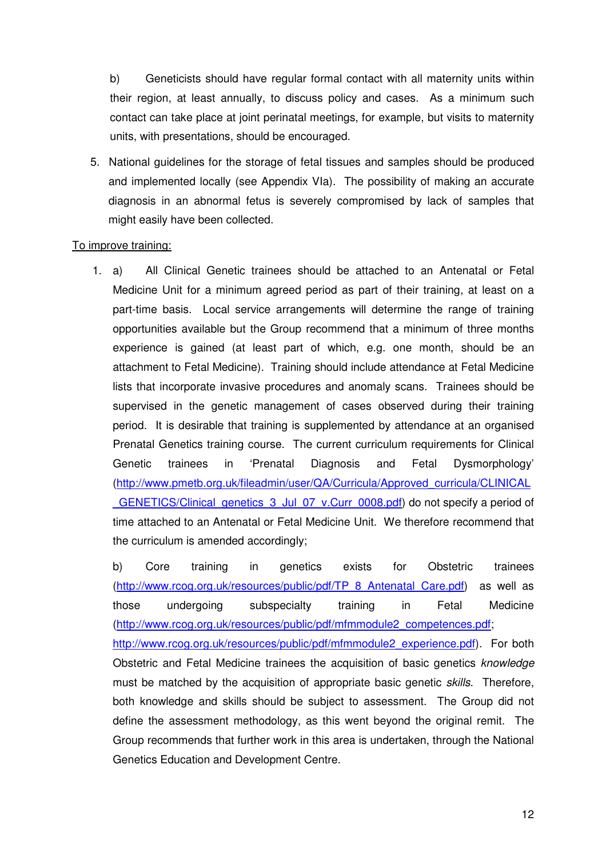b) Geneticists should have regular formal contact with all maternity units within their region, at least annually, to discuss policy and cases. As a minimum such contact can take place at joint perinatal meetings, for example, but visits to maternity units, with presentations, should be encouraged.

5. National guidelines for the storage of fetal tissues and samples should be produced and implemented locally (see Appendix VIa). The possibility of making an accurate diagnosis in an abnormal fetus is severely compromised by lack of samples that might easily have been collected.

## To improve training:

1. a) All Clinical Genetic trainees should be attached to an Antenatal or Fetal Medicine Unit for a minimum agreed period as part of their training, at least on a part-time basis. Local service arrangements will determine the range of training opportunities available but the Group recommend that a minimum of three months experience is gained (at least part of which, e.g. one month, should be an attachment to Fetal Medicine). Training should include attendance at Fetal Medicine lists that incorporate invasive procedures and anomaly scans. Trainees should be supervised in the genetic management of cases observed during their training period. It is desirable that training is supplemented by attendance at an organised Prenatal Genetics training course. The current curriculum requirements for Clinical Genetic trainees in 'Prenatal Diagnosis and Fetal Dysmorphology' (http://www.pmetb.org.uk/fileadmin/user/QA/Curricula/Approved\_curricula/CLINICAL GENETICS/Clinical\_genetics\_3\_Jul\_07\_v.Curr\_0008.pdf) do not specify a period of time attached to an Antenatal or Fetal Medicine Unit. We therefore recommend that the curriculum is amended accordingly;

b) Core training in genetics exists for Obstetric trainees (http://www.rcog.org.uk/resources/public/pdf/TP\_8\_Antenatal\_Care.pdf) as well as those undergoing subspecialty training in Fetal Medicine (http://www.rcog.org.uk/resources/public/pdf/mfmmodule2\_competences.pdf;

http://www.rcog.org.uk/resources/public/pdf/mfmmodule2\_experience.pdf). For both Obstetric and Fetal Medicine trainees the acquisition of basic genetics knowledge must be matched by the acquisition of appropriate basic genetic skills. Therefore, both knowledge and skills should be subject to assessment. The Group did not define the assessment methodology, as this went beyond the original remit. The Group recommends that further work in this area is undertaken, through the National Genetics Education and Development Centre.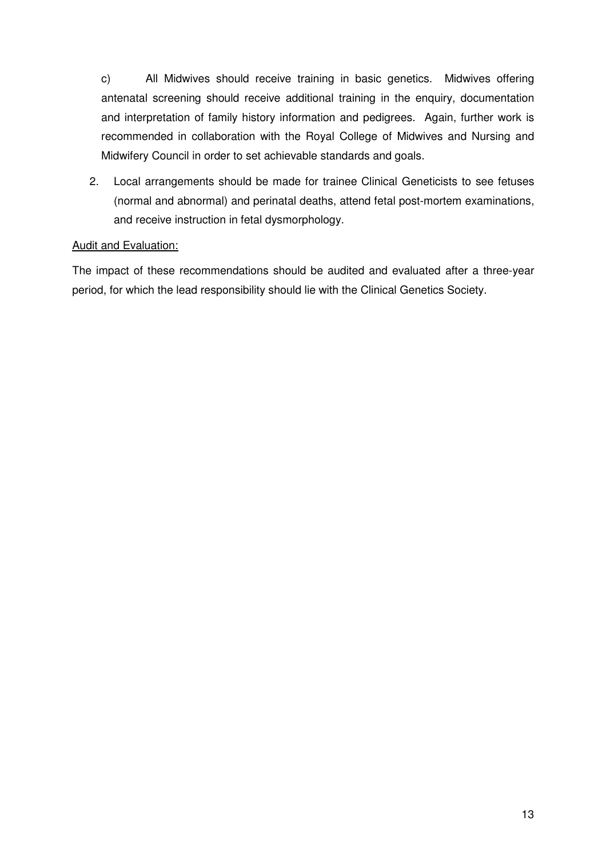c) All Midwives should receive training in basic genetics. Midwives offering antenatal screening should receive additional training in the enquiry, documentation and interpretation of family history information and pedigrees. Again, further work is recommended in collaboration with the Royal College of Midwives and Nursing and Midwifery Council in order to set achievable standards and goals.

2. Local arrangements should be made for trainee Clinical Geneticists to see fetuses (normal and abnormal) and perinatal deaths, attend fetal post-mortem examinations, and receive instruction in fetal dysmorphology.

## Audit and Evaluation:

The impact of these recommendations should be audited and evaluated after a three-year period, for which the lead responsibility should lie with the Clinical Genetics Society.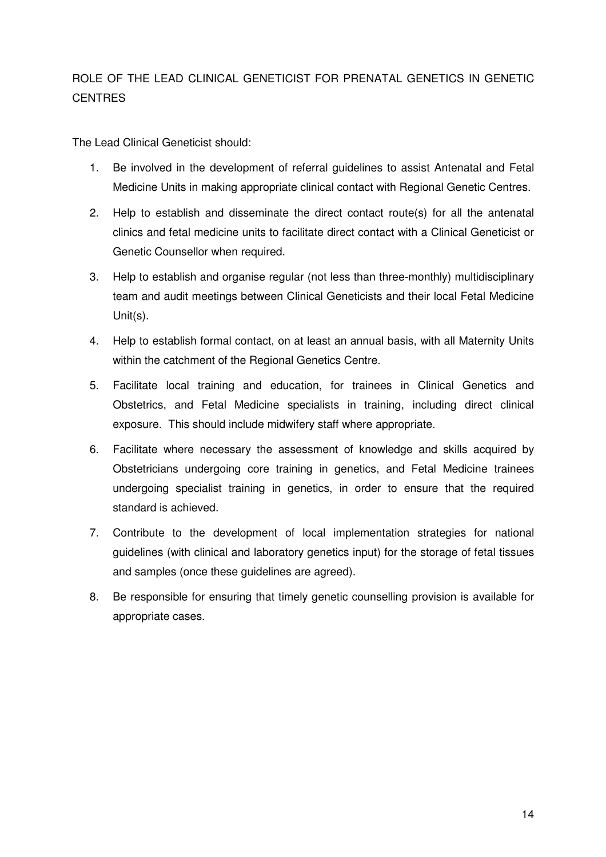# ROLE OF THE LEAD CLINICAL GENETICIST FOR PRENATAL GENETICS IN GENETIC CENTRES

The Lead Clinical Geneticist should:

- 1. Be involved in the development of referral guidelines to assist Antenatal and Fetal Medicine Units in making appropriate clinical contact with Regional Genetic Centres.
- 2. Help to establish and disseminate the direct contact route(s) for all the antenatal clinics and fetal medicine units to facilitate direct contact with a Clinical Geneticist or Genetic Counsellor when required.
- 3. Help to establish and organise regular (not less than three-monthly) multidisciplinary team and audit meetings between Clinical Geneticists and their local Fetal Medicine Unit(s).
- 4. Help to establish formal contact, on at least an annual basis, with all Maternity Units within the catchment of the Regional Genetics Centre.
- 5. Facilitate local training and education, for trainees in Clinical Genetics and Obstetrics, and Fetal Medicine specialists in training, including direct clinical exposure. This should include midwifery staff where appropriate.
- 6. Facilitate where necessary the assessment of knowledge and skills acquired by Obstetricians undergoing core training in genetics, and Fetal Medicine trainees undergoing specialist training in genetics, in order to ensure that the required standard is achieved.
- 7. Contribute to the development of local implementation strategies for national guidelines (with clinical and laboratory genetics input) for the storage of fetal tissues and samples (once these guidelines are agreed).
- 8. Be responsible for ensuring that timely genetic counselling provision is available for appropriate cases.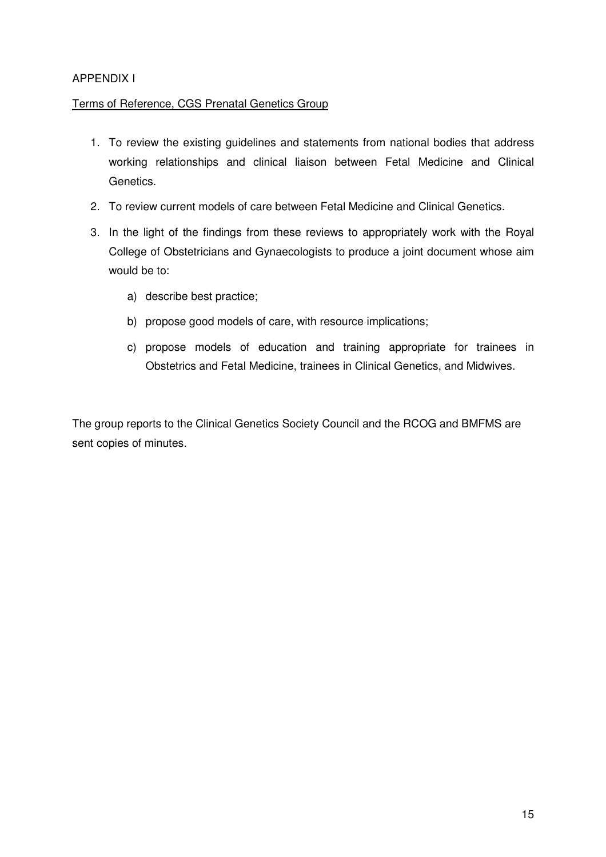## APPENDIX I

## Terms of Reference, CGS Prenatal Genetics Group

- 1. To review the existing guidelines and statements from national bodies that address working relationships and clinical liaison between Fetal Medicine and Clinical Genetics.
- 2. To review current models of care between Fetal Medicine and Clinical Genetics.
- 3. In the light of the findings from these reviews to appropriately work with the Royal College of Obstetricians and Gynaecologists to produce a joint document whose aim would be to:
	- a) describe best practice;
	- b) propose good models of care, with resource implications;
	- c) propose models of education and training appropriate for trainees in Obstetrics and Fetal Medicine, trainees in Clinical Genetics, and Midwives.

The group reports to the Clinical Genetics Society Council and the RCOG and BMFMS are sent copies of minutes.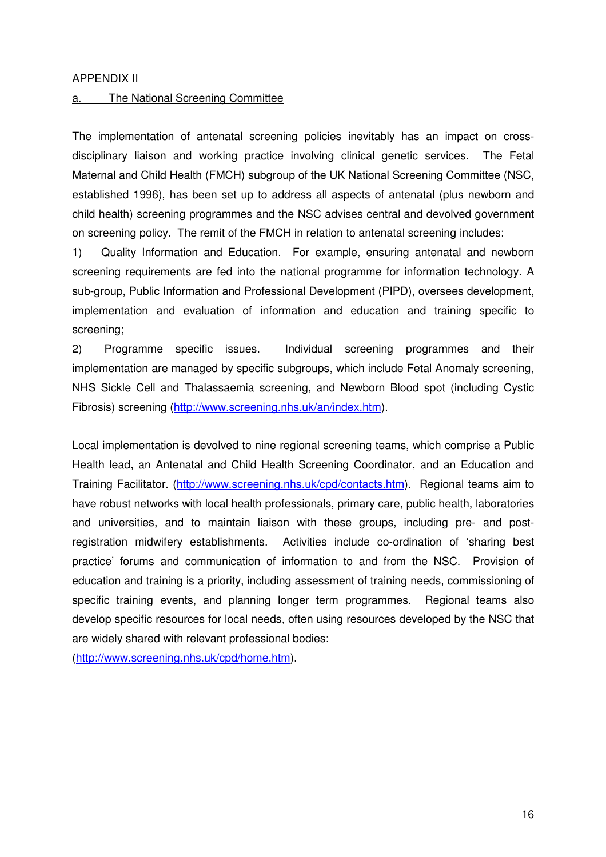#### APPENDIX II

#### a. The National Screening Committee

The implementation of antenatal screening policies inevitably has an impact on crossdisciplinary liaison and working practice involving clinical genetic services. The Fetal Maternal and Child Health (FMCH) subgroup of the UK National Screening Committee (NSC, established 1996), has been set up to address all aspects of antenatal (plus newborn and child health) screening programmes and the NSC advises central and devolved government on screening policy. The remit of the FMCH in relation to antenatal screening includes:

1) Quality Information and Education. For example, ensuring antenatal and newborn screening requirements are fed into the national programme for information technology. A sub-group, Public Information and Professional Development (PIPD), oversees development, implementation and evaluation of information and education and training specific to screening;

2) Programme specific issues. Individual screening programmes and their implementation are managed by specific subgroups, which include Fetal Anomaly screening, NHS Sickle Cell and Thalassaemia screening, and Newborn Blood spot (including Cystic Fibrosis) screening (http://www.screening.nhs.uk/an/index.htm).

Local implementation is devolved to nine regional screening teams, which comprise a Public Health lead, an Antenatal and Child Health Screening Coordinator, and an Education and Training Facilitator. (http://www.screening.nhs.uk/cpd/contacts.htm). Regional teams aim to have robust networks with local health professionals, primary care, public health, laboratories and universities, and to maintain liaison with these groups, including pre- and postregistration midwifery establishments. Activities include co-ordination of 'sharing best practice' forums and communication of information to and from the NSC. Provision of education and training is a priority, including assessment of training needs, commissioning of specific training events, and planning longer term programmes. Regional teams also develop specific resources for local needs, often using resources developed by the NSC that are widely shared with relevant professional bodies:

(http://www.screening.nhs.uk/cpd/home.htm).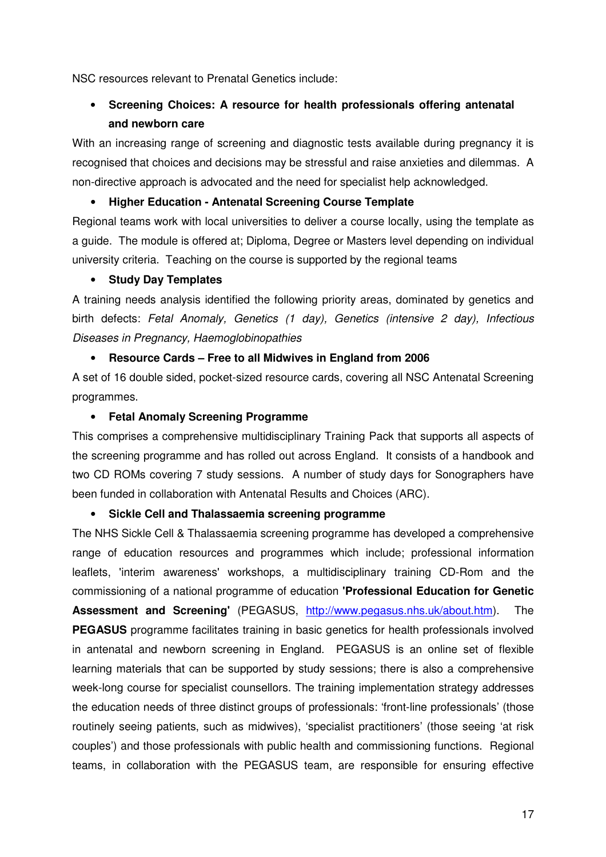NSC resources relevant to Prenatal Genetics include:

# • **Screening Choices: A resource for health professionals offering antenatal and newborn care**

With an increasing range of screening and diagnostic tests available during pregnancy it is recognised that choices and decisions may be stressful and raise anxieties and dilemmas. A non-directive approach is advocated and the need for specialist help acknowledged.

## • **Higher Education - Antenatal Screening Course Template**

Regional teams work with local universities to deliver a course locally, using the template as a guide. The module is offered at; Diploma, Degree or Masters level depending on individual university criteria. Teaching on the course is supported by the regional teams

## • **Study Day Templates**

A training needs analysis identified the following priority areas, dominated by genetics and birth defects: Fetal Anomaly, Genetics (1 day), Genetics (intensive 2 day), Infectious Diseases in Pregnancy, Haemoglobinopathies

## • **Resource Cards – Free to all Midwives in England from 2006**

A set of 16 double sided, pocket-sized resource cards, covering all NSC Antenatal Screening programmes.

## • **Fetal Anomaly Screening Programme**

This comprises a comprehensive multidisciplinary Training Pack that supports all aspects of the screening programme and has rolled out across England. It consists of a handbook and two CD ROMs covering 7 study sessions. A number of study days for Sonographers have been funded in collaboration with Antenatal Results and Choices (ARC).

#### • **Sickle Cell and Thalassaemia screening programme**

The NHS Sickle Cell & Thalassaemia screening programme has developed a comprehensive range of education resources and programmes which include; professional information leaflets, 'interim awareness' workshops, a multidisciplinary training CD-Rom and the commissioning of a national programme of education **'Professional Education for Genetic**  Assessment and Screening' (PEGASUS, http://www.pegasus.nhs.uk/about.htm). The **PEGASUS** programme facilitates training in basic genetics for health professionals involved in antenatal and newborn screening in England. PEGASUS is an online set of flexible learning materials that can be supported by study sessions; there is also a comprehensive week-long course for specialist counsellors. The training implementation strategy addresses the education needs of three distinct groups of professionals: 'front-line professionals' (those routinely seeing patients, such as midwives), 'specialist practitioners' (those seeing 'at risk couples') and those professionals with public health and commissioning functions. Regional teams, in collaboration with the PEGASUS team, are responsible for ensuring effective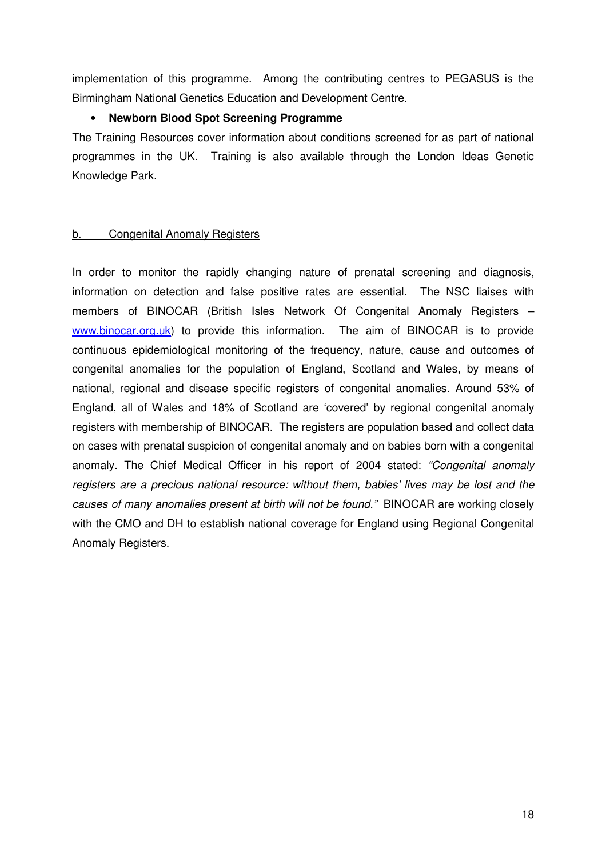implementation of this programme. Among the contributing centres to PEGASUS is the Birmingham National Genetics Education and Development Centre.

## • **Newborn Blood Spot Screening Programme**

The Training Resources cover information about conditions screened for as part of national programmes in the UK. Training is also available through the London Ideas Genetic Knowledge Park.

## b. Congenital Anomaly Registers

In order to monitor the rapidly changing nature of prenatal screening and diagnosis, information on detection and false positive rates are essential. The NSC liaises with members of BINOCAR (British Isles Network Of Congenital Anomaly Registers – www.binocar.org.uk) to provide this information. The aim of BINOCAR is to provide continuous epidemiological monitoring of the frequency, nature, cause and outcomes of congenital anomalies for the population of England, Scotland and Wales, by means of national, regional and disease specific registers of congenital anomalies. Around 53% of England, all of Wales and 18% of Scotland are 'covered' by regional congenital anomaly registers with membership of BINOCAR. The registers are population based and collect data on cases with prenatal suspicion of congenital anomaly and on babies born with a congenital anomaly. The Chief Medical Officer in his report of 2004 stated: "Congenital anomaly registers are a precious national resource: without them, babies' lives may be lost and the causes of many anomalies present at birth will not be found." BINOCAR are working closely with the CMO and DH to establish national coverage for England using Regional Congenital Anomaly Registers.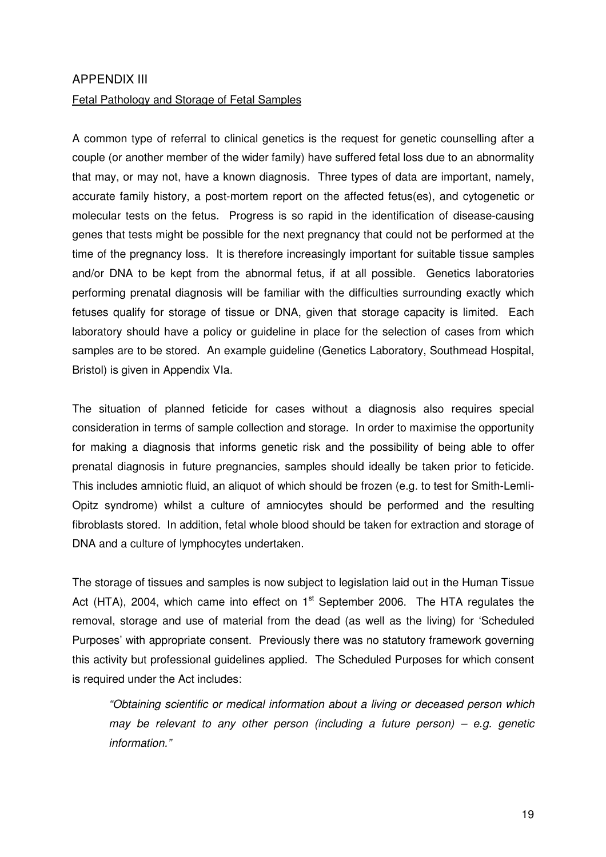#### APPENDIX III

#### Fetal Pathology and Storage of Fetal Samples

A common type of referral to clinical genetics is the request for genetic counselling after a couple (or another member of the wider family) have suffered fetal loss due to an abnormality that may, or may not, have a known diagnosis. Three types of data are important, namely, accurate family history, a post-mortem report on the affected fetus(es), and cytogenetic or molecular tests on the fetus. Progress is so rapid in the identification of disease-causing genes that tests might be possible for the next pregnancy that could not be performed at the time of the pregnancy loss. It is therefore increasingly important for suitable tissue samples and/or DNA to be kept from the abnormal fetus, if at all possible. Genetics laboratories performing prenatal diagnosis will be familiar with the difficulties surrounding exactly which fetuses qualify for storage of tissue or DNA, given that storage capacity is limited. Each laboratory should have a policy or guideline in place for the selection of cases from which samples are to be stored. An example guideline (Genetics Laboratory, Southmead Hospital, Bristol) is given in Appendix VIa.

The situation of planned feticide for cases without a diagnosis also requires special consideration in terms of sample collection and storage. In order to maximise the opportunity for making a diagnosis that informs genetic risk and the possibility of being able to offer prenatal diagnosis in future pregnancies, samples should ideally be taken prior to feticide. This includes amniotic fluid, an aliquot of which should be frozen (e.g. to test for Smith-Lemli-Opitz syndrome) whilst a culture of amniocytes should be performed and the resulting fibroblasts stored. In addition, fetal whole blood should be taken for extraction and storage of DNA and a culture of lymphocytes undertaken.

The storage of tissues and samples is now subject to legislation laid out in the Human Tissue Act (HTA), 2004, which came into effect on  $1<sup>st</sup>$  September 2006. The HTA regulates the removal, storage and use of material from the dead (as well as the living) for 'Scheduled Purposes' with appropriate consent. Previously there was no statutory framework governing this activity but professional guidelines applied. The Scheduled Purposes for which consent is required under the Act includes:

"Obtaining scientific or medical information about a living or deceased person which may be relevant to any other person (including a future person) – e.g. genetic information."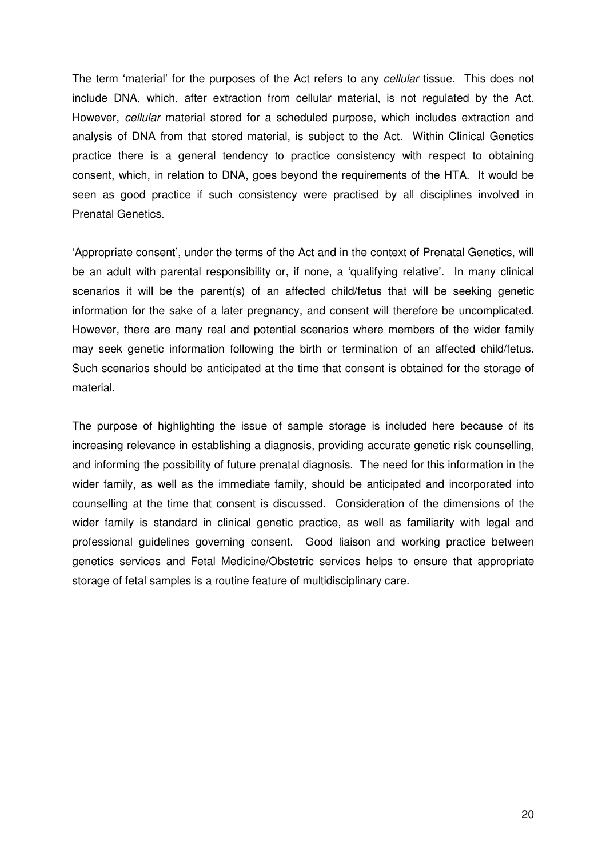The term 'material' for the purposes of the Act refers to any cellular tissue. This does not include DNA, which, after extraction from cellular material, is not regulated by the Act. However, cellular material stored for a scheduled purpose, which includes extraction and analysis of DNA from that stored material, is subject to the Act. Within Clinical Genetics practice there is a general tendency to practice consistency with respect to obtaining consent, which, in relation to DNA, goes beyond the requirements of the HTA. It would be seen as good practice if such consistency were practised by all disciplines involved in Prenatal Genetics.

'Appropriate consent', under the terms of the Act and in the context of Prenatal Genetics, will be an adult with parental responsibility or, if none, a 'qualifying relative'. In many clinical scenarios it will be the parent(s) of an affected child/fetus that will be seeking genetic information for the sake of a later pregnancy, and consent will therefore be uncomplicated. However, there are many real and potential scenarios where members of the wider family may seek genetic information following the birth or termination of an affected child/fetus. Such scenarios should be anticipated at the time that consent is obtained for the storage of material.

The purpose of highlighting the issue of sample storage is included here because of its increasing relevance in establishing a diagnosis, providing accurate genetic risk counselling, and informing the possibility of future prenatal diagnosis. The need for this information in the wider family, as well as the immediate family, should be anticipated and incorporated into counselling at the time that consent is discussed. Consideration of the dimensions of the wider family is standard in clinical genetic practice, as well as familiarity with legal and professional guidelines governing consent. Good liaison and working practice between genetics services and Fetal Medicine/Obstetric services helps to ensure that appropriate storage of fetal samples is a routine feature of multidisciplinary care.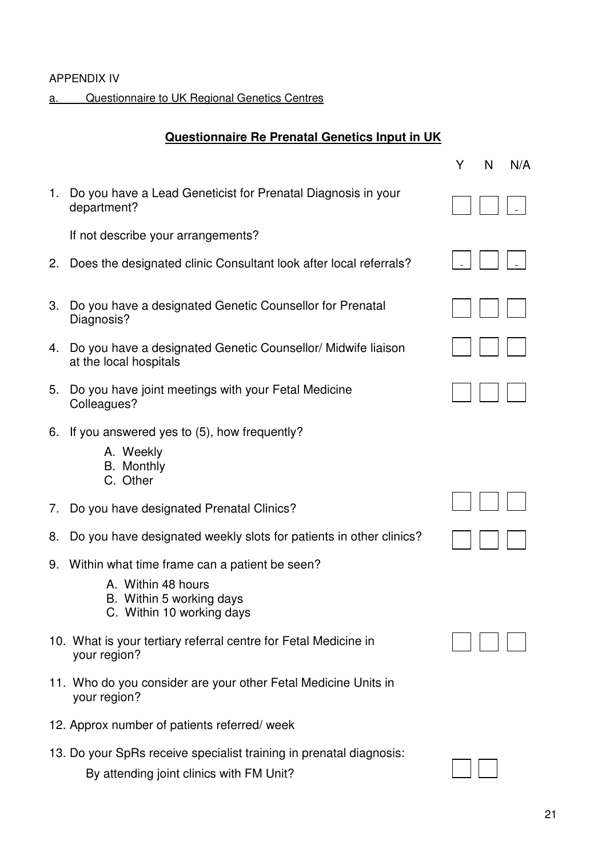## APPENDIX IV

a. Questionnaire to UK Regional Genetics Centres

# **Questionnaire Re Prenatal Genetics Input in UK**

|    |                                                                                                                                 | Y<br>N | N/A |
|----|---------------------------------------------------------------------------------------------------------------------------------|--------|-----|
| 1. | Do you have a Lead Geneticist for Prenatal Diagnosis in your<br>department?                                                     |        |     |
|    | If not describe your arrangements?                                                                                              |        |     |
| 2. | Does the designated clinic Consultant look after local referrals?                                                               |        |     |
| 3. | Do you have a designated Genetic Counsellor for Prenatal<br>Diagnosis?                                                          |        |     |
| 4. | Do you have a designated Genetic Counsellor/ Midwife liaison<br>at the local hospitals                                          |        |     |
| 5. | Do you have joint meetings with your Fetal Medicine<br>Colleagues?                                                              |        |     |
|    | 6. If you answered yes to (5), how frequently?<br>A. Weekly<br><b>B.</b> Monthly<br>C. Other                                    |        |     |
| 7. | Do you have designated Prenatal Clinics?                                                                                        |        |     |
| 8. | Do you have designated weekly slots for patients in other clinics?                                                              |        |     |
|    | 9. Within what time frame can a patient be seen?<br>A. Within 48 hours<br>B. Within 5 working days<br>C. Within 10 working days |        |     |
|    | 10. What is your tertiary referral centre for Fetal Medicine in<br>your region?                                                 |        |     |
|    | 11. Who do you consider are your other Fetal Medicine Units in<br>your region?                                                  |        |     |
|    | 12. Approx number of patients referred/ week                                                                                    |        |     |
|    | 13. Do your SpRs receive specialist training in prenatal diagnosis:<br>By attending joint clinics with FM Unit?                 |        |     |

By attending joint clinics with FM Unit?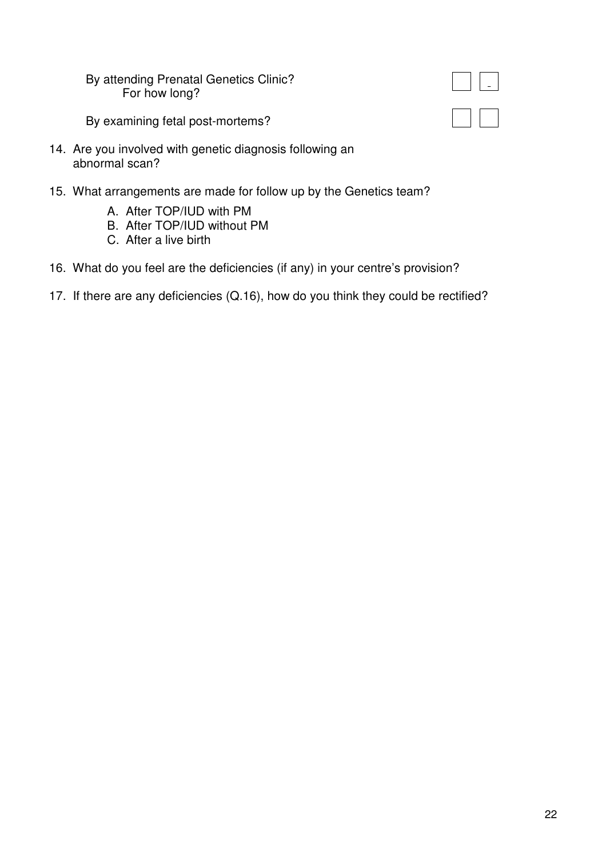By attending Prenatal Genetics Clinic? For how long?

By examining fetal post-mortems?

- 14. Are you involved with genetic diagnosis following an abnormal scan?
- 15. What arrangements are made for follow up by the Genetics team?
	- A. After TOP/IUD with PM
	- B. After TOP/IUD without PM
	- C. After a live birth
- 16. What do you feel are the deficiencies (if any) in your centre's provision?
- 17. If there are any deficiencies (Q.16), how do you think they could be rectified?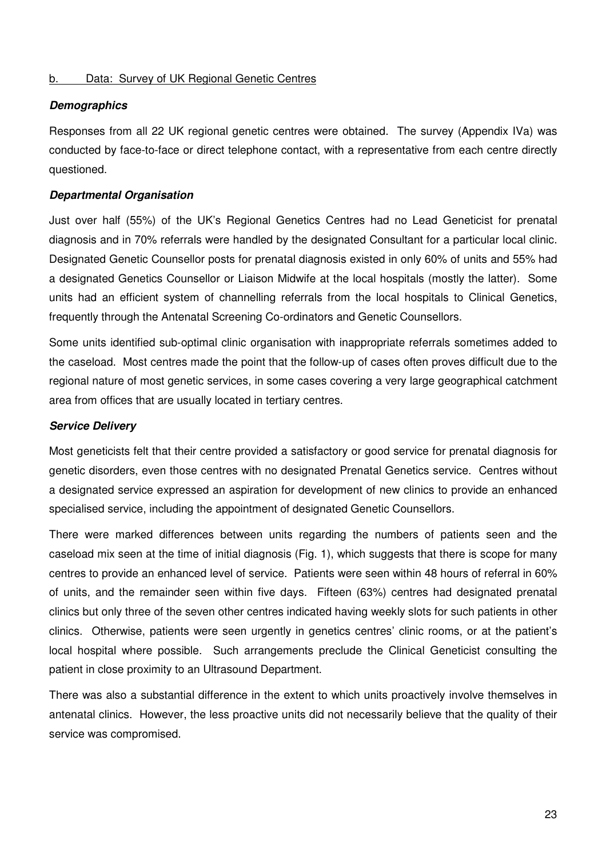#### b. Data: Survey of UK Regional Genetic Centres

#### **Demographics**

Responses from all 22 UK regional genetic centres were obtained. The survey (Appendix IVa) was conducted by face-to-face or direct telephone contact, with a representative from each centre directly questioned.

#### **Departmental Organisation**

Just over half (55%) of the UK's Regional Genetics Centres had no Lead Geneticist for prenatal diagnosis and in 70% referrals were handled by the designated Consultant for a particular local clinic. Designated Genetic Counsellor posts for prenatal diagnosis existed in only 60% of units and 55% had a designated Genetics Counsellor or Liaison Midwife at the local hospitals (mostly the latter). Some units had an efficient system of channelling referrals from the local hospitals to Clinical Genetics, frequently through the Antenatal Screening Co-ordinators and Genetic Counsellors.

Some units identified sub-optimal clinic organisation with inappropriate referrals sometimes added to the caseload. Most centres made the point that the follow-up of cases often proves difficult due to the regional nature of most genetic services, in some cases covering a very large geographical catchment area from offices that are usually located in tertiary centres.

#### **Service Delivery**

Most geneticists felt that their centre provided a satisfactory or good service for prenatal diagnosis for genetic disorders, even those centres with no designated Prenatal Genetics service. Centres without a designated service expressed an aspiration for development of new clinics to provide an enhanced specialised service, including the appointment of designated Genetic Counsellors.

There were marked differences between units regarding the numbers of patients seen and the caseload mix seen at the time of initial diagnosis (Fig. 1), which suggests that there is scope for many centres to provide an enhanced level of service. Patients were seen within 48 hours of referral in 60% of units, and the remainder seen within five days. Fifteen (63%) centres had designated prenatal clinics but only three of the seven other centres indicated having weekly slots for such patients in other clinics. Otherwise, patients were seen urgently in genetics centres' clinic rooms, or at the patient's local hospital where possible. Such arrangements preclude the Clinical Geneticist consulting the patient in close proximity to an Ultrasound Department.

There was also a substantial difference in the extent to which units proactively involve themselves in antenatal clinics. However, the less proactive units did not necessarily believe that the quality of their service was compromised.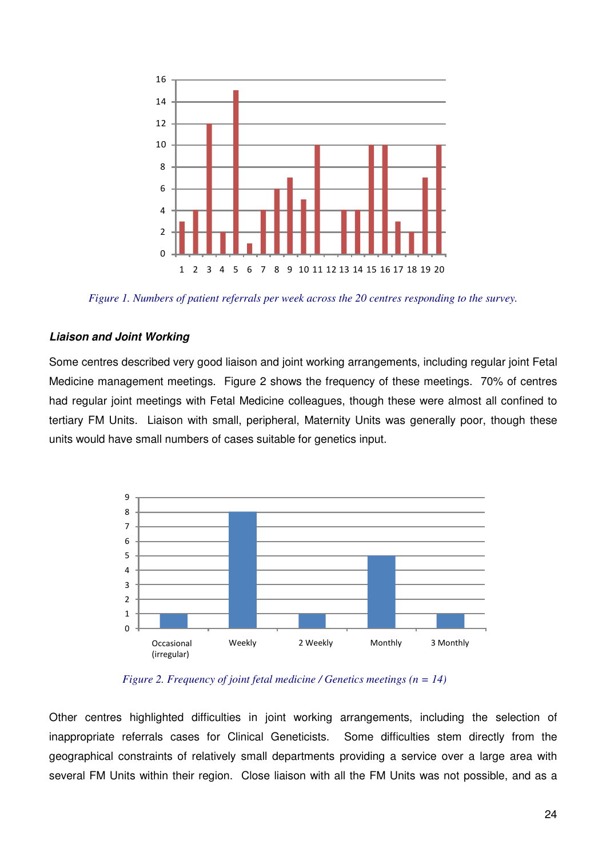

*Figure 1. Numbers of patient referrals per week across the 20 centres responding to the survey.* 

#### **Liaison and Joint Working**

Some centres described very good liaison and joint working arrangements, including regular joint Fetal Medicine management meetings. Figure 2 shows the frequency of these meetings. 70% of centres had regular joint meetings with Fetal Medicine colleagues, though these were almost all confined to tertiary FM Units. Liaison with small, peripheral, Maternity Units was generally poor, though these units would have small numbers of cases suitable for genetics input.



*Figure 2. Frequency of joint fetal medicine / Genetics meetings (n = 14)* 

Other centres highlighted difficulties in joint working arrangements, including the selection of inappropriate referrals cases for Clinical Geneticists. Some difficulties stem directly from the geographical constraints of relatively small departments providing a service over a large area with several FM Units within their region. Close liaison with all the FM Units was not possible, and as a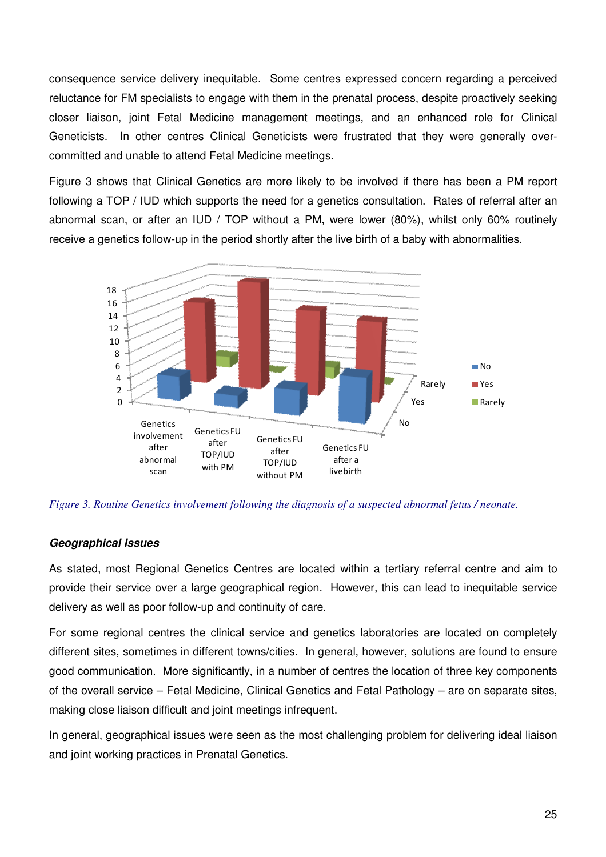consequence service delivery inequitable. Some centres expressed concern regarding a perceived reluctance for FM specialists to engage with them in the prenatal process, despite proactively seeking closer liaison, joint Fetal Medicine management meetings, and an enhanced role for Clinical Geneticists. In other centres Clinical Geneticists were frustrated that they were generally overcommitted and unable to attend Fetal Medicine meetings.

Figure 3 shows that Clinical Genetics are more likely to be involved if there has been a PM report following a TOP / IUD which supports the need for a genetics consultation. Rates of referral after an abnormal scan, or after an IUD / TOP without a PM, were lower (80%), whilst only 60% routinely receive a genetics follow-up in the period shortly after the live birth of a baby with abnormalities.



*Figure 3. Routine Genetics involvement following the diagnosis of a suspected abnormal fetus / neonate.* 

#### **Geographical Issues**

As stated, most Regional Genetics Centres are located within a tertiary referral centre and aim to provide their service over a large geographical region. However, this can lead to inequitable service delivery as well as poor follow-up and continuity of care.

For some regional centres the clinical service and genetics laboratories are located on completely different sites, sometimes in different towns/cities. In general, however, solutions are found to ensure good communication. More significantly, in a number of centres the location of three key components of the overall service – Fetal Medicine, Clinical Genetics and Fetal Pathology – are on separate sites, making close liaison difficult and joint meetings infrequent.

In general, geographical issues were seen as the most challenging problem for delivering ideal liaison and joint working practices in Prenatal Genetics.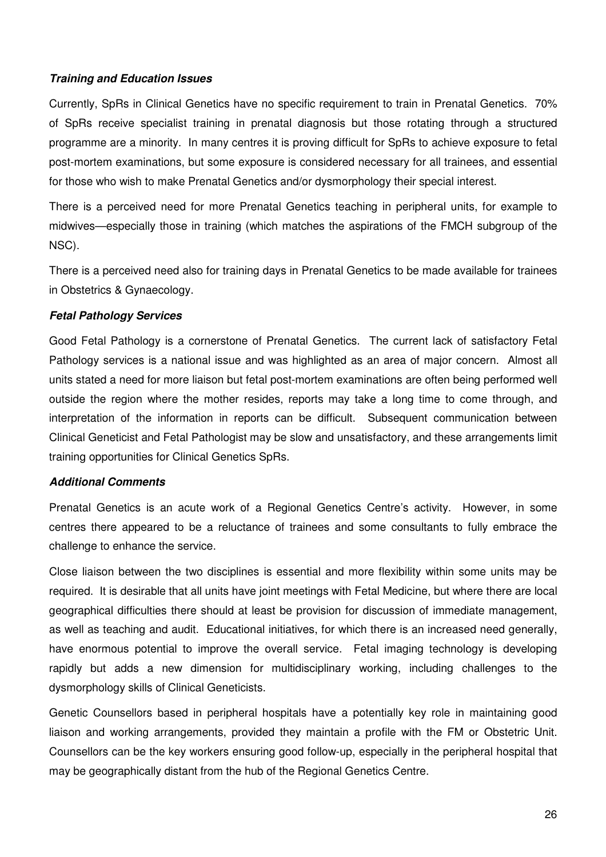## **Training and Education Issues**

Currently, SpRs in Clinical Genetics have no specific requirement to train in Prenatal Genetics. 70% of SpRs receive specialist training in prenatal diagnosis but those rotating through a structured programme are a minority. In many centres it is proving difficult for SpRs to achieve exposure to fetal post-mortem examinations, but some exposure is considered necessary for all trainees, and essential for those who wish to make Prenatal Genetics and/or dysmorphology their special interest.

There is a perceived need for more Prenatal Genetics teaching in peripheral units, for example to midwives—especially those in training (which matches the aspirations of the FMCH subgroup of the NSC).

There is a perceived need also for training days in Prenatal Genetics to be made available for trainees in Obstetrics & Gynaecology.

## **Fetal Pathology Services**

Good Fetal Pathology is a cornerstone of Prenatal Genetics. The current lack of satisfactory Fetal Pathology services is a national issue and was highlighted as an area of major concern. Almost all units stated a need for more liaison but fetal post-mortem examinations are often being performed well outside the region where the mother resides, reports may take a long time to come through, and interpretation of the information in reports can be difficult. Subsequent communication between Clinical Geneticist and Fetal Pathologist may be slow and unsatisfactory, and these arrangements limit training opportunities for Clinical Genetics SpRs.

#### **Additional Comments**

Prenatal Genetics is an acute work of a Regional Genetics Centre's activity. However, in some centres there appeared to be a reluctance of trainees and some consultants to fully embrace the challenge to enhance the service.

Close liaison between the two disciplines is essential and more flexibility within some units may be required. It is desirable that all units have joint meetings with Fetal Medicine, but where there are local geographical difficulties there should at least be provision for discussion of immediate management, as well as teaching and audit. Educational initiatives, for which there is an increased need generally, have enormous potential to improve the overall service. Fetal imaging technology is developing rapidly but adds a new dimension for multidisciplinary working, including challenges to the dysmorphology skills of Clinical Geneticists.

Genetic Counsellors based in peripheral hospitals have a potentially key role in maintaining good liaison and working arrangements, provided they maintain a profile with the FM or Obstetric Unit. Counsellors can be the key workers ensuring good follow-up, especially in the peripheral hospital that may be geographically distant from the hub of the Regional Genetics Centre.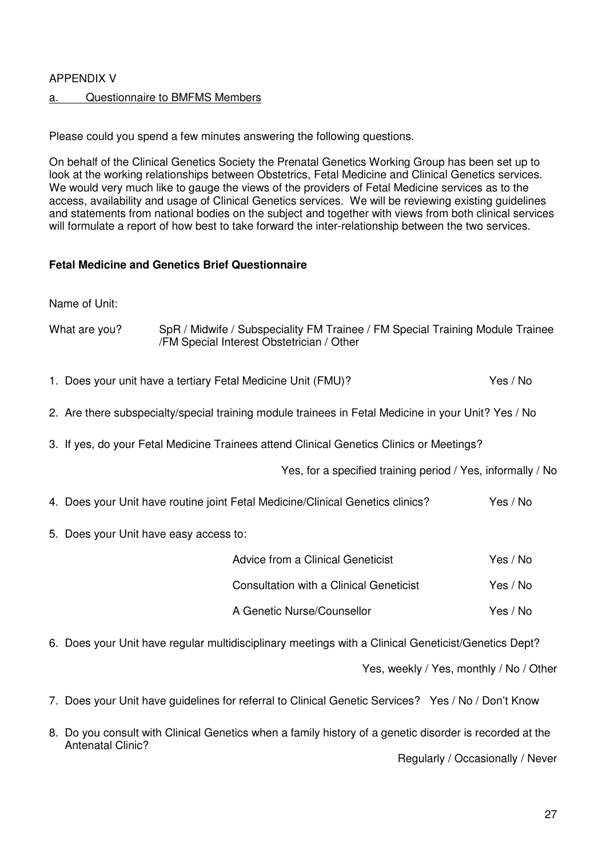## APPENDIX V

## a. Questionnaire to BMFMS Members

Please could you spend a few minutes answering the following questions.

On behalf of the Clinical Genetics Society the Prenatal Genetics Working Group has been set up to look at the working relationships between Obstetrics, Fetal Medicine and Clinical Genetics services. We would very much like to gauge the views of the providers of Fetal Medicine services as to the access, availability and usage of Clinical Genetics services. We will be reviewing existing guidelines and statements from national bodies on the subject and together with views from both clinical services will formulate a report of how best to take forward the inter-relationship between the two services.

## **Fetal Medicine and Genetics Brief Questionnaire**

Name of Unit:

| What are you?                          | SpR / Midwife / Subspeciality FM Trainee / FM Special Training Module Trainee<br>/FM Special Interest Obstetrician / Other |          |
|----------------------------------------|----------------------------------------------------------------------------------------------------------------------------|----------|
|                                        | 1. Does your unit have a tertiary Fetal Medicine Unit (FMU)?                                                               | Yes / No |
|                                        | 2. Are there subspecialty/special training module trainees in Fetal Medicine in your Unit? Yes / No                        |          |
|                                        | 3. If yes, do your Fetal Medicine Trainees attend Clinical Genetics Clinics or Meetings?                                   |          |
|                                        | Yes, for a specified training period / Yes, informally / No                                                                |          |
|                                        | 4. Does your Unit have routine joint Fetal Medicine/Clinical Genetics clinics?                                             | Yes / No |
| 5. Does your Unit have easy access to: |                                                                                                                            |          |
|                                        | Advice from a Clinical Geneticist                                                                                          | Yes / No |
|                                        | <b>Consultation with a Clinical Geneticist</b>                                                                             | Yes / No |
|                                        | A Genetic Nurse/Counsellor                                                                                                 | Yes / No |
|                                        | 6. Does your Unit have regular multidisciplinary meetings with a Clinical Geneticist/Genetics Dept?                        |          |
|                                        | Yes, weekly / Yes, monthly / No / Other                                                                                    |          |
|                                        | 7. Does your Unit have guidelines for referral to Clinical Genetic Services? Yes / No / Don't Know                         |          |

8. Do you consult with Clinical Genetics when a family history of a genetic disorder is recorded at the Antenatal Clinic? Regularly / Occasionally / Never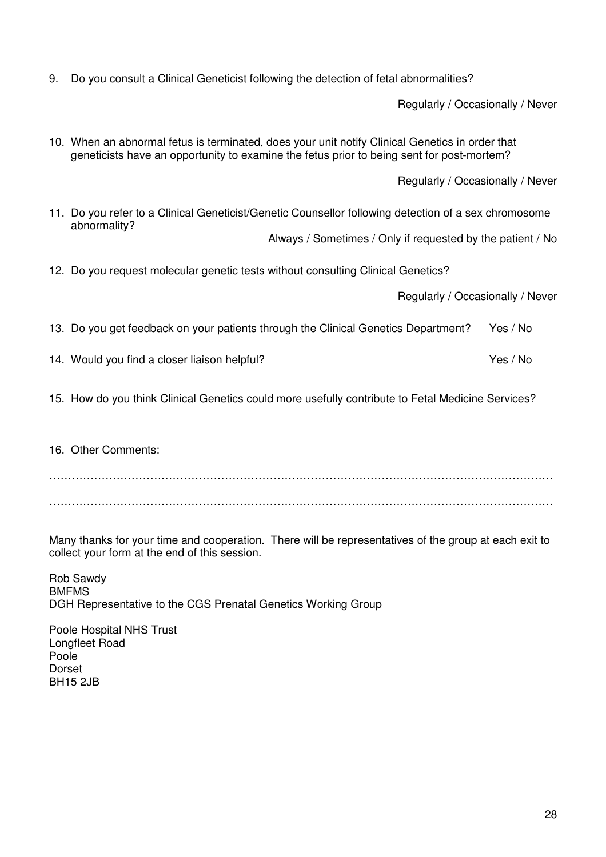9. Do you consult a Clinical Geneticist following the detection of fetal abnormalities?

Regularly / Occasionally / Never

10. When an abnormal fetus is terminated, does your unit notify Clinical Genetics in order that geneticists have an opportunity to examine the fetus prior to being sent for post-mortem?

Regularly / Occasionally / Never

11. Do you refer to a Clinical Geneticist/Genetic Counsellor following detection of a sex chromosome abnormality?

Always / Sometimes / Only if requested by the patient / No

12. Do you request molecular genetic tests without consulting Clinical Genetics?

Regularly / Occasionally / Never

- 13. Do you get feedback on your patients through the Clinical Genetics Department? Yes / No
- 14. Would you find a closer liaison helpful? The same state of the Second Ves / No
- 15. How do you think Clinical Genetics could more usefully contribute to Fetal Medicine Services?
- 16. Other Comments:

……………………………………………………………………………………………………………………… ………………………………………………………………………………………………………………………

Many thanks for your time and cooperation. There will be representatives of the group at each exit to collect your form at the end of this session.

Rob Sawdy BMFMS DGH Representative to the CGS Prenatal Genetics Working Group

Poole Hospital NHS Trust Longfleet Road Poole Dorset BH15 2JB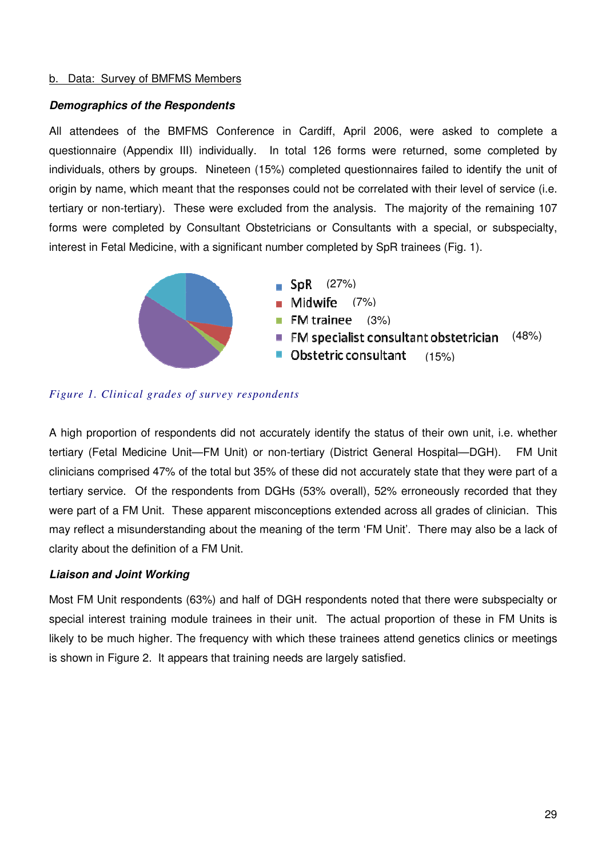#### b. Data: Survey of BMFMS Members

#### **Demographics of the Respondents**

All attendees of the BMFMS Conference in Cardiff, April 2006, were asked to complete a questionnaire (Appendix III) individually. In total 126 forms were returned, some completed by individuals, others by groups. Nineteen (15%) completed questionnaires failed to identify the unit of origin by name, which meant that the responses could not be correlated with their level of service (i.e. tertiary or non-tertiary). These were excluded from the analysis. The majority of the remaining 107 forms were completed by Consultant Obstetricians or Consultants with a special, or subspecialty, interest in Fetal Medicine, with a significant number completed by SpR trainees (Fig. 1).





## *Figure 1. Clinical grades of survey respondents*

A high proportion of respondents did not accurately identify the status of their own unit, i.e. whether tertiary (Fetal Medicine Unit—FM Unit) or non-tertiary (District General Hospital—DGH). FM Unit clinicians comprised 47% of the total but 35% of these did not accurately state that they were part of a tertiary service. Of the respondents from DGHs (53% overall), 52% erroneously recorded that they were part of a FM Unit. These apparent misconceptions extended across all grades of clinician. This may reflect a misunderstanding about the meaning of the term 'FM Unit'. There may also be a lack of clarity about the definition of a FM Unit.

#### **Liaison and Joint Working**

Most FM Unit respondents (63%) and half of DGH respondents noted that there were subspecialty or special interest training module trainees in their unit. The actual proportion of these in FM Units is likely to be much higher. The frequency with which these trainees attend genetics clinics or meetings is shown in Figure 2. It appears that training needs are largely satisfied.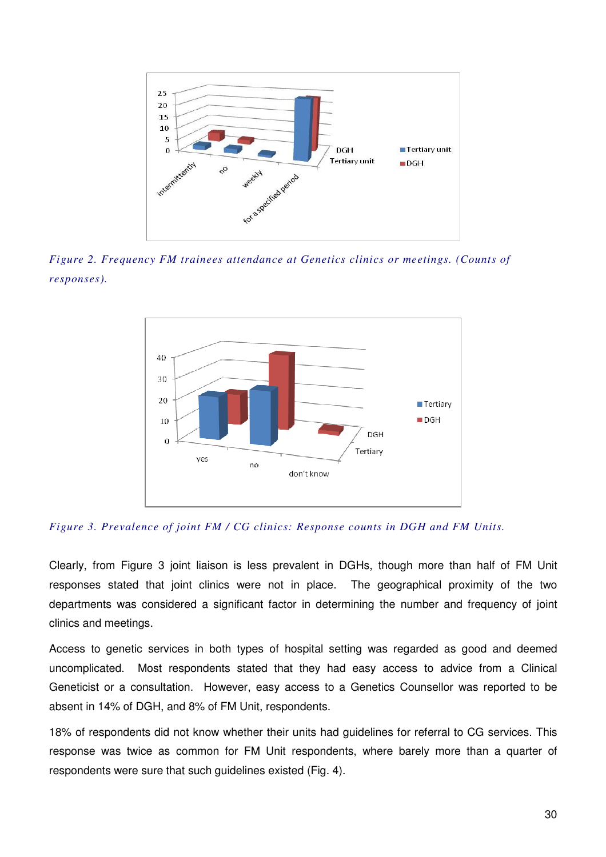

*Figure 2. Frequency FM trainees attendance at Genetics clinics or meetings. (Counts of responses).* 



*Figure 3. Prevalence of joint FM / CG clinics: Response counts in DGH and FM Units.* 

Clearly, from Figure 3 joint liaison is less prevalent in DGHs, though more than half of FM Unit responses stated that joint clinics were not in place. The geographical proximity of the two departments was considered a significant factor in determining the number and frequency of joint clinics and meetings.

Access to genetic services in both types of hospital setting was regarded as good and deemed uncomplicated. Most respondents stated that they had easy access to advice from a Clinical Geneticist or a consultation. However, easy access to a Genetics Counsellor was reported to be absent in 14% of DGH, and 8% of FM Unit, respondents.

18% of respondents did not know whether their units had guidelines for referral to CG services. This response was twice as common for FM Unit respondents, where barely more than a quarter of respondents were sure that such guidelines existed (Fig. 4).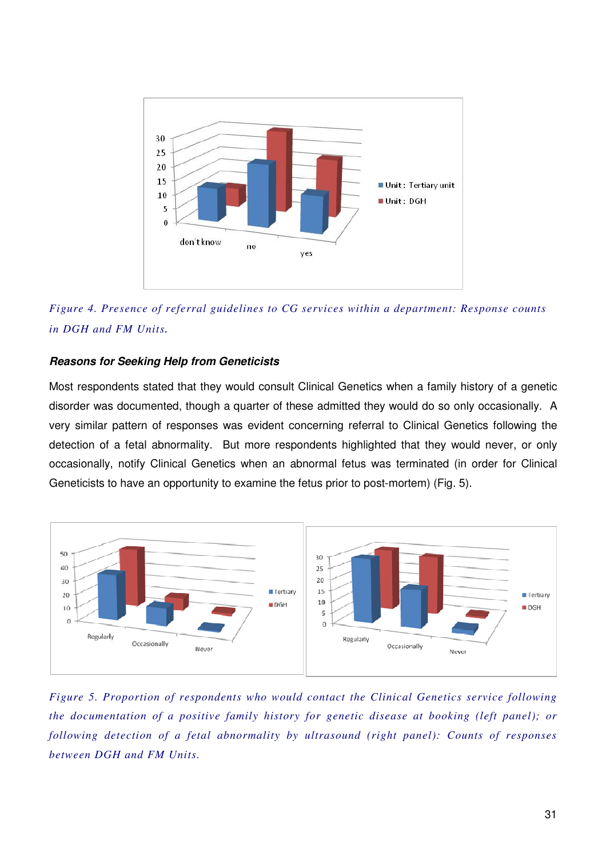

*Figure 4. Presence of referral guidelines to CG services within a department: Response counts in DGH and FM Units*.

#### **Reasons for Seeking Help from Geneticists**

Most respondents stated that they would consult Clinical Genetics when a family history of a genetic disorder was documented, though a quarter of these admitted they would do so only occasionally. A very similar pattern of responses was evident concerning referral to Clinical Genetics following the detection of a fetal abnormality. But more respondents highlighted that they would never, or only occasionally, notify Clinical Genetics when an abnormal fetus was terminated (in order for Clinical Geneticists to have an opportunity to examine the fetus prior to post-mortem) (Fig. 5).



*Figure 5. Proportion of respondents who would contact the Clinical Genetics service following the documentation of a positive family history for genetic disease at booking (left panel); or following detection of a fetal abnormality by ultrasound (right panel): Counts of responses between DGH and FM Units.*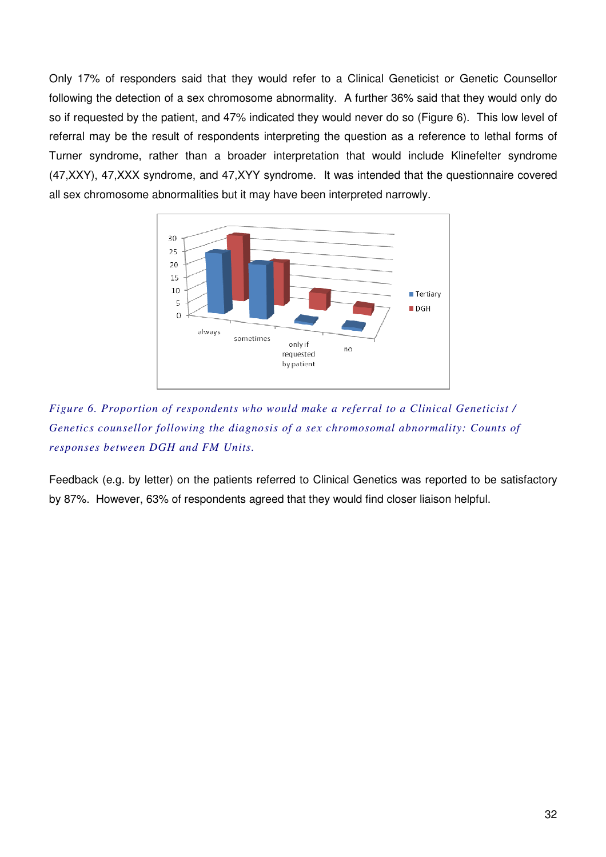Only 17% of responders said that they would refer to a Clinical Geneticist or Genetic Counsellor following the detection of a sex chromosome abnormality. A further 36% said that they would only do so if requested by the patient, and 47% indicated they would never do so (Figure 6). This low level of referral may be the result of respondents interpreting the question as a reference to lethal forms of Turner syndrome, rather than a broader interpretation that would include Klinefelter syndrome (47,XXY), 47,XXX syndrome, and 47,XYY syndrome. It was intended that the questionnaire covered all sex chromosome abnormalities but it may have been interpreted narrowly.



*Figure 6. Proportion of respondents who would make a referral to a Clinical Geneticist / Genetics counsellor following the diagnosis of a sex chromosomal abnormality: Counts of responses between DGH and FM Units.* 

Feedback (e.g. by letter) on the patients referred to Clinical Genetics was reported to be satisfactory by 87%. However, 63% of respondents agreed that they would find closer liaison helpful.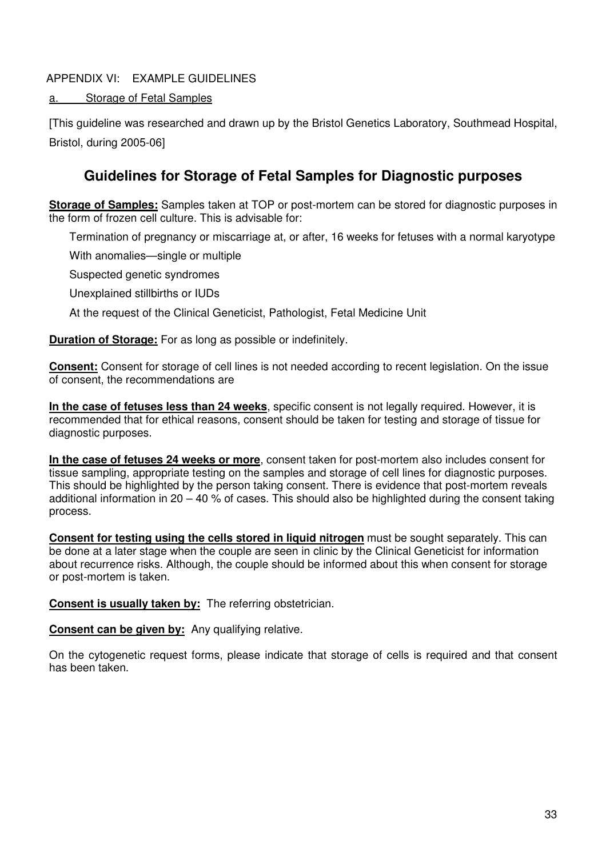## APPENDIX VI: EXAMPLE GUIDELINES

## a. Storage of Fetal Samples

[This guideline was researched and drawn up by the Bristol Genetics Laboratory, Southmead Hospital, Bristol, during 2005-06]

# **Guidelines for Storage of Fetal Samples for Diagnostic purposes**

**Storage of Samples:** Samples taken at TOP or post-mortem can be stored for diagnostic purposes in the form of frozen cell culture. This is advisable for:

Termination of pregnancy or miscarriage at, or after, 16 weeks for fetuses with a normal karyotype

With anomalies—single or multiple

Suspected genetic syndromes

Unexplained stillbirths or IUDs

At the request of the Clinical Geneticist, Pathologist, Fetal Medicine Unit

**Duration of Storage:** For as long as possible or indefinitely.

**Consent:** Consent for storage of cell lines is not needed according to recent legislation. On the issue of consent, the recommendations are

**In the case of fetuses less than 24 weeks**, specific consent is not legally required. However, it is recommended that for ethical reasons, consent should be taken for testing and storage of tissue for diagnostic purposes.

**In the case of fetuses 24 weeks or more**, consent taken for post-mortem also includes consent for tissue sampling, appropriate testing on the samples and storage of cell lines for diagnostic purposes. This should be highlighted by the person taking consent. There is evidence that post-mortem reveals additional information in 20 – 40 % of cases. This should also be highlighted during the consent taking process.

**Consent for testing using the cells stored in liquid nitrogen** must be sought separately. This can be done at a later stage when the couple are seen in clinic by the Clinical Geneticist for information about recurrence risks. Although, the couple should be informed about this when consent for storage or post-mortem is taken.

**Consent is usually taken by:** The referring obstetrician.

**Consent can be given by:** Any qualifying relative.

On the cytogenetic request forms, please indicate that storage of cells is required and that consent has been taken.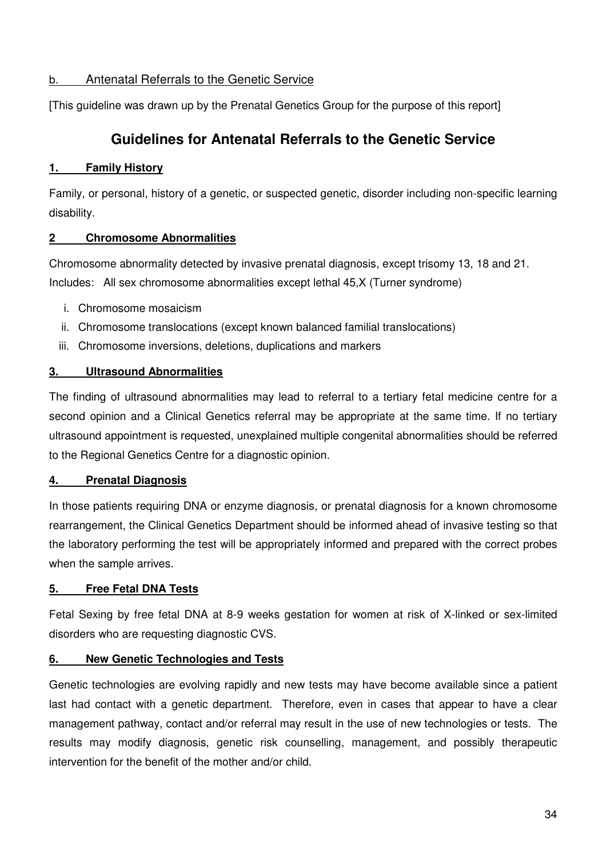## b. Antenatal Referrals to the Genetic Service

[This guideline was drawn up by the Prenatal Genetics Group for the purpose of this report]

# **Guidelines for Antenatal Referrals to the Genetic Service**

## **1. Family History**

Family, or personal, history of a genetic, or suspected genetic, disorder including non-specific learning disability.

## **2 Chromosome Abnormalities**

Chromosome abnormality detected by invasive prenatal diagnosis, except trisomy 13, 18 and 21. Includes: All sex chromosome abnormalities except lethal 45,X (Turner syndrome)

- i. Chromosome mosaicism
- ii. Chromosome translocations (except known balanced familial translocations)
- iii. Chromosome inversions, deletions, duplications and markers

## **3. Ultrasound Abnormalities**

The finding of ultrasound abnormalities may lead to referral to a tertiary fetal medicine centre for a second opinion and a Clinical Genetics referral may be appropriate at the same time. If no tertiary ultrasound appointment is requested, unexplained multiple congenital abnormalities should be referred to the Regional Genetics Centre for a diagnostic opinion.

## **4. Prenatal Diagnosis**

In those patients requiring DNA or enzyme diagnosis, or prenatal diagnosis for a known chromosome rearrangement, the Clinical Genetics Department should be informed ahead of invasive testing so that the laboratory performing the test will be appropriately informed and prepared with the correct probes when the sample arrives.

## **5. Free Fetal DNA Tests**

Fetal Sexing by free fetal DNA at 8-9 weeks gestation for women at risk of X-linked or sex-limited disorders who are requesting diagnostic CVS.

## **6. New Genetic Technologies and Tests**

Genetic technologies are evolving rapidly and new tests may have become available since a patient last had contact with a genetic department. Therefore, even in cases that appear to have a clear management pathway, contact and/or referral may result in the use of new technologies or tests. The results may modify diagnosis, genetic risk counselling, management, and possibly therapeutic intervention for the benefit of the mother and/or child.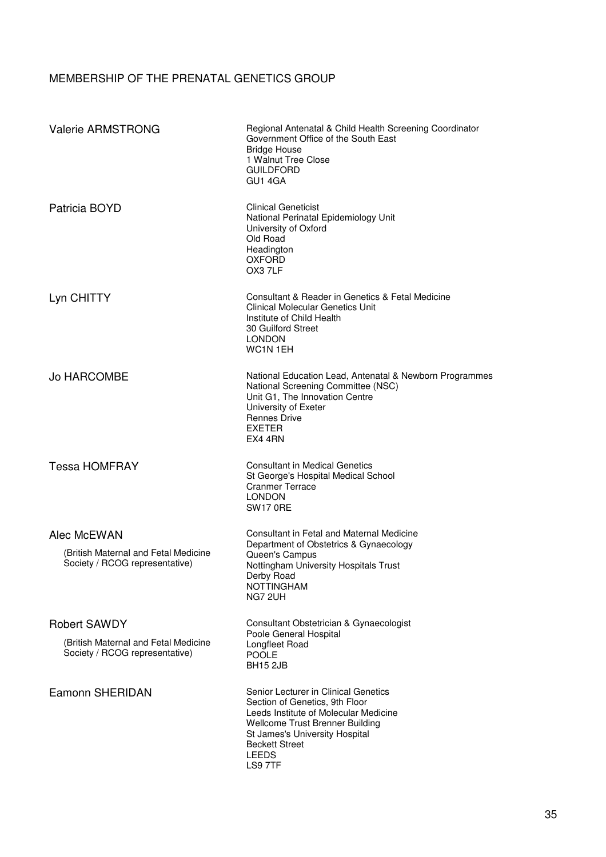# MEMBERSHIP OF THE PRENATAL GENETICS GROUP

| <b>Valerie ARMSTRONG</b>                                                                      | Regional Antenatal & Child Health Screening Coordinator<br>Government Office of the South East<br><b>Bridge House</b><br>1 Walnut Tree Close<br><b>GUILDFORD</b><br>GU1 4GA                                                       |
|-----------------------------------------------------------------------------------------------|-----------------------------------------------------------------------------------------------------------------------------------------------------------------------------------------------------------------------------------|
| Patricia BOYD                                                                                 | <b>Clinical Geneticist</b><br>National Perinatal Epidemiology Unit<br>University of Oxford<br>Old Road<br>Headington<br><b>OXFORD</b><br>OX3 7LF                                                                                  |
| Lyn CHITTY                                                                                    | Consultant & Reader in Genetics & Fetal Medicine<br><b>Clinical Molecular Genetics Unit</b><br>Institute of Child Health<br>30 Guilford Street<br><b>LONDON</b><br>WC <sub>1</sub> N <sub>1EH</sub>                               |
| <b>Jo HARCOMBE</b>                                                                            | National Education Lead, Antenatal & Newborn Programmes<br>National Screening Committee (NSC)<br>Unit G1, The Innovation Centre<br>University of Exeter<br><b>Rennes Drive</b><br><b>EXETER</b><br>EX4 4RN                        |
| <b>Tessa HOMFRAY</b>                                                                          | <b>Consultant in Medical Genetics</b><br>St George's Hospital Medical School<br><b>Cranmer Terrace</b><br><b>LONDON</b><br><b>SW17 0RE</b>                                                                                        |
| Alec McEWAN<br>(British Maternal and Fetal Medicine<br>Society / RCOG representative)         | Consultant in Fetal and Maternal Medicine<br>Department of Obstetrics & Gynaecology<br>Queen's Campus<br>Nottingham University Hospitals Trust<br>Derby Road<br><b>NOTTINGHAM</b><br>NG7 2UH                                      |
| <b>Robert SAWDY</b><br>(British Maternal and Fetal Medicine<br>Society / RCOG representative) | Consultant Obstetrician & Gynaecologist<br>Poole General Hospital<br>Longfleet Road<br><b>POOLE</b><br><b>BH15 2JB</b>                                                                                                            |
| Eamonn SHERIDAN                                                                               | Senior Lecturer in Clinical Genetics<br>Section of Genetics, 9th Floor<br>Leeds Institute of Molecular Medicine<br>Wellcome Trust Brenner Building<br>St James's University Hospital<br><b>Beckett Street</b><br>LEEDS<br>LS9 7TF |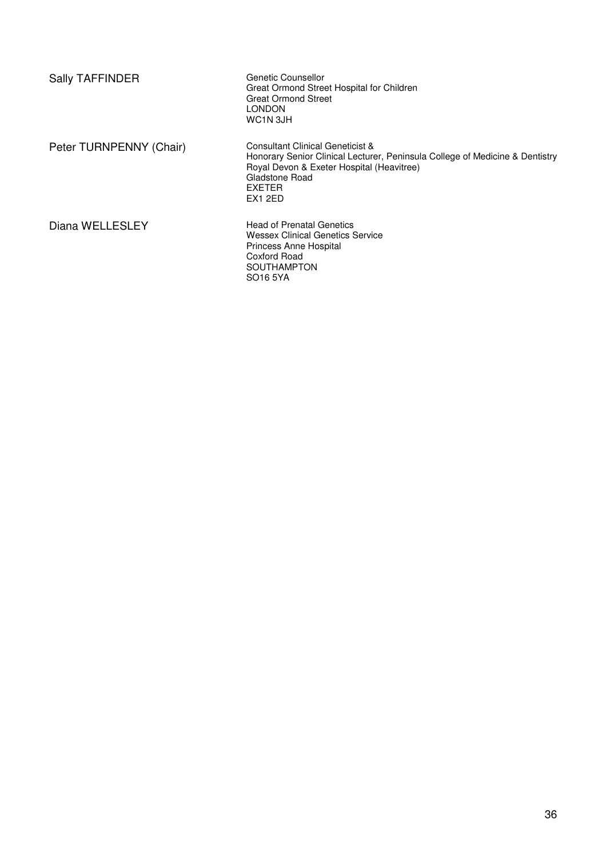| <b>Sally TAFFINDER</b>  | Genetic Counsellor<br>Great Ormond Street Hospital for Children<br><b>Great Ormond Street</b><br>LONDON<br>WC1N 3JH                                                                                         |
|-------------------------|-------------------------------------------------------------------------------------------------------------------------------------------------------------------------------------------------------------|
| Peter TURNPENNY (Chair) | Consultant Clinical Geneticist &<br>Honorary Senior Clinical Lecturer, Peninsula College of Medicine & Dentistry<br>Royal Devon & Exeter Hospital (Heavitree)<br>Gladstone Road<br><b>EXETER</b><br>EX1 2ED |
| Diana WELLESLEY         | <b>Head of Prenatal Genetics</b><br><b>Wessex Clinical Genetics Service</b><br>Princess Anne Hospital<br>Coxford Road<br>SOUTHAMPTON<br>SO16 5YA                                                            |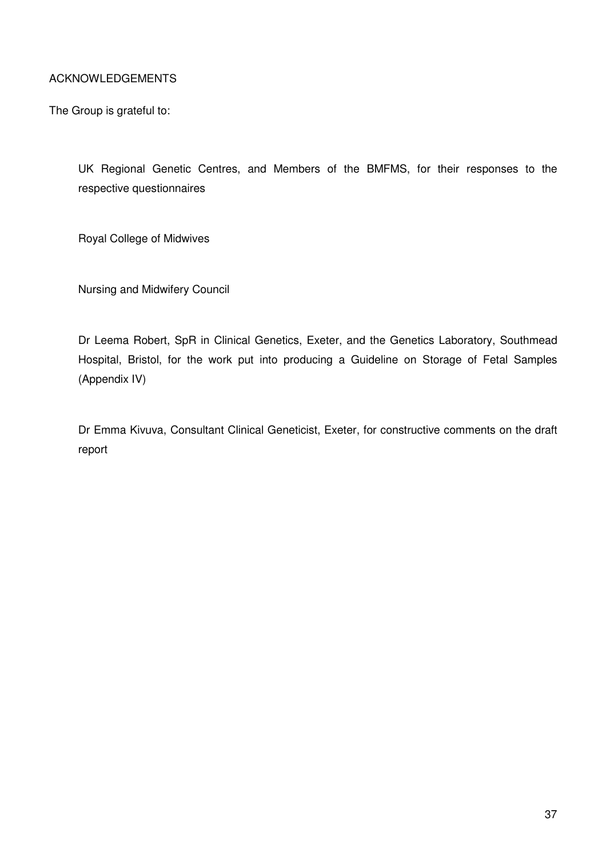## ACKNOWLEDGEMENTS

The Group is grateful to:

UK Regional Genetic Centres, and Members of the BMFMS, for their responses to the respective questionnaires

Royal College of Midwives

Nursing and Midwifery Council

Dr Leema Robert, SpR in Clinical Genetics, Exeter, and the Genetics Laboratory, Southmead Hospital, Bristol, for the work put into producing a Guideline on Storage of Fetal Samples (Appendix IV)

Dr Emma Kivuva, Consultant Clinical Geneticist, Exeter, for constructive comments on the draft report